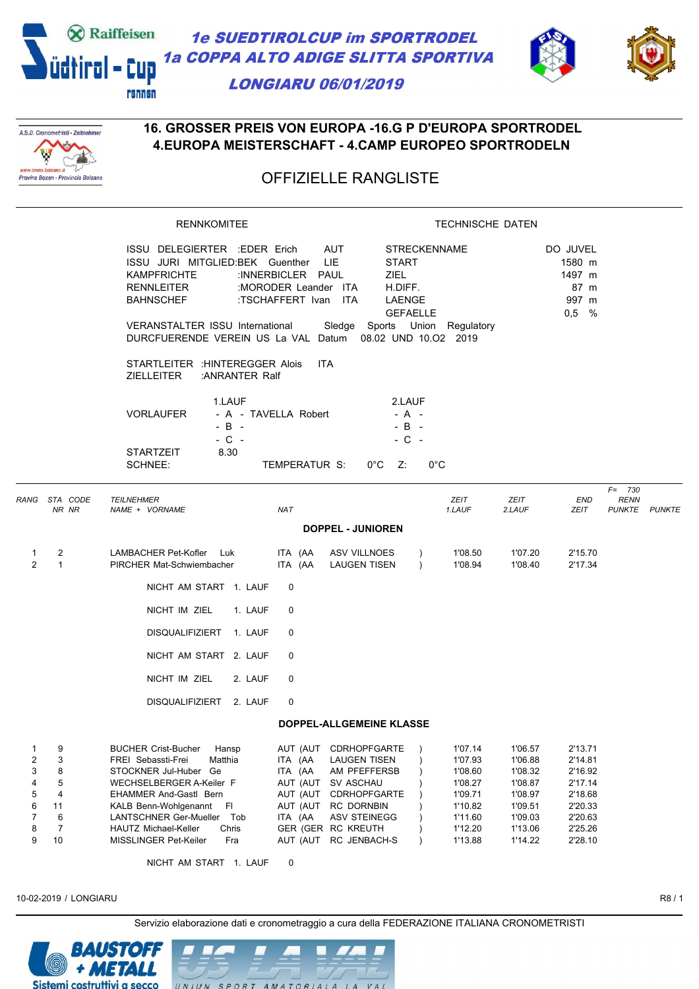



#### A.S.D. Cronometristi - Zeitnehmer **V** W Provinz Bozen - Provincia Bolzano

#### **16. GROSSER PREIS VON EUROPA -16.G P D'EUROPA SPORTRODEL 4.EUROPA MEISTERSCHAFT - 4.CAMP EUROPEO SPORTRODELN**

# OFFIZIELLE RANGLISTE

|                                           |                                             | <b>RENNKOMITEE</b>                                                                                                                                                                                                                                                                                                 | <b>TECHNISCHE DATEN</b>                                                                        |                                                                                                                                                                    |                                                                             |                                                                                                 |                                                                                                 |                                                                                                 |                                                  |  |
|-------------------------------------------|---------------------------------------------|--------------------------------------------------------------------------------------------------------------------------------------------------------------------------------------------------------------------------------------------------------------------------------------------------------------------|------------------------------------------------------------------------------------------------|--------------------------------------------------------------------------------------------------------------------------------------------------------------------|-----------------------------------------------------------------------------|-------------------------------------------------------------------------------------------------|-------------------------------------------------------------------------------------------------|-------------------------------------------------------------------------------------------------|--------------------------------------------------|--|
|                                           |                                             | ISSU DELEGIERTER :EDER Erich<br>ISSU JURI MITGLIED:BEK Guenther<br><b>KAMPFRICHTE</b><br><b>RENNLEITER</b><br><b>BAHNSCHEF</b><br>VERANSTALTER ISSU International<br>DURCFUERENDE VEREIN US La VAL Datum 08.02 UND 10.02 2019                                                                                      | :INNERBICLER PAUL<br>:MORODER Leander ITA<br>:TSCHAFFERT Ivan ITA                              | AUT<br>LIE<br><b>ZIEL</b><br>Sledge Sports Union Regulatory                                                                                                        | <b>STRECKENNAME</b><br><b>START</b><br>H.DIFF.<br>LAENGE<br><b>GEFAELLE</b> |                                                                                                 |                                                                                                 | DO JUVEL<br>1580 m<br>1497 m<br>87 m<br>997 m<br>$0,5$ %                                        |                                                  |  |
|                                           |                                             | STARTLEITER : HINTEREGGER Alois<br><b>ZIELLEITER</b><br>:ANRANTER Ralf                                                                                                                                                                                                                                             |                                                                                                | <b>ITA</b>                                                                                                                                                         |                                                                             |                                                                                                 |                                                                                                 |                                                                                                 |                                                  |  |
|                                           |                                             | 1.LAUF<br><b>VORLAUFER</b><br>$-B -$<br>$-$ C $-$<br>8.30<br><b>STARTZEIT</b><br>SCHNEE:                                                                                                                                                                                                                           | - A - TAVELLA Robert<br>TEMPERATUR S:                                                          | $0^{\circ}C$ Z:                                                                                                                                                    | 2.LAUF<br>$- A -$<br>$-B -$<br>$-C -$<br>$0^{\circ}$ C                      |                                                                                                 |                                                                                                 |                                                                                                 |                                                  |  |
| RANG STA CODE                             | NR NR                                       | <b>TEILNEHMER</b><br>NAME + VORNAME                                                                                                                                                                                                                                                                                | <b>NAT</b>                                                                                     |                                                                                                                                                                    |                                                                             | ZEIT<br>1.LAUF                                                                                  | ZEIT<br>2.LAUF                                                                                  | END<br>ZEIT                                                                                     | $F = 730$<br><b>RENN</b><br><b>PUNKTE PUNKTE</b> |  |
|                                           |                                             |                                                                                                                                                                                                                                                                                                                    |                                                                                                | <b>DOPPEL - JUNIOREN</b>                                                                                                                                           |                                                                             |                                                                                                 |                                                                                                 |                                                                                                 |                                                  |  |
| 1<br>$\overline{2}$                       | $\overline{2}$<br>$\mathbf{1}$              | LAMBACHER Pet-Kofler<br>Luk<br>PIRCHER Mat-Schwiembacher                                                                                                                                                                                                                                                           | ITA (AA<br>ITA (AA                                                                             | ASV VILLNOES<br><b>LAUGEN TISEN</b>                                                                                                                                | $\lambda$<br>$\lambda$                                                      | 1'08.50<br>1'08.94                                                                              | 1'07.20<br>1'08.40                                                                              | 2'15.70<br>2'17.34                                                                              |                                                  |  |
|                                           |                                             | NICHT AM START 1. LAUF                                                                                                                                                                                                                                                                                             | 0                                                                                              |                                                                                                                                                                    |                                                                             |                                                                                                 |                                                                                                 |                                                                                                 |                                                  |  |
|                                           |                                             | NICHT IM ZIEL<br>1. LAUF                                                                                                                                                                                                                                                                                           | 0                                                                                              |                                                                                                                                                                    |                                                                             |                                                                                                 |                                                                                                 |                                                                                                 |                                                  |  |
|                                           |                                             | DISQUALIFIZIERT 1. LAUF                                                                                                                                                                                                                                                                                            | 0                                                                                              |                                                                                                                                                                    |                                                                             |                                                                                                 |                                                                                                 |                                                                                                 |                                                  |  |
|                                           |                                             | NICHT AM START 2. LAUF                                                                                                                                                                                                                                                                                             | 0                                                                                              |                                                                                                                                                                    |                                                                             |                                                                                                 |                                                                                                 |                                                                                                 |                                                  |  |
|                                           |                                             | NICHT IM ZIEL<br>2. LAUF                                                                                                                                                                                                                                                                                           | 0                                                                                              |                                                                                                                                                                    |                                                                             |                                                                                                 |                                                                                                 |                                                                                                 |                                                  |  |
|                                           |                                             | DISQUALIFIZIERT 2. LAUF                                                                                                                                                                                                                                                                                            | 0                                                                                              |                                                                                                                                                                    |                                                                             |                                                                                                 |                                                                                                 |                                                                                                 |                                                  |  |
|                                           |                                             |                                                                                                                                                                                                                                                                                                                    |                                                                                                | <b>DOPPEL-ALLGEMEINE KLASSE</b>                                                                                                                                    |                                                                             |                                                                                                 |                                                                                                 |                                                                                                 |                                                  |  |
| 1<br>2<br>3<br>4<br>5<br>6<br>7<br>8<br>9 | 9<br>3<br>8<br>5<br>4<br>11<br>6<br>7<br>10 | <b>BUCHER Crist-Bucher</b><br>Hansp<br>FREI Sebassti-Frei<br>Matthia<br>STOCKNER Jul-Huber Ge<br>WECHSELBERGER A-Keiler F<br><b>EHAMMER And-Gastl Bern</b><br>KALB Benn-Wohlgenannt Fl<br>LANTSCHNER Ger-Mueller<br>Tob<br>Chris<br>HAUTZ Michael-Keller<br>MISSLINGER Pet-Keiler<br>Fra<br>NICHT AM START 1. LAUF | AUT (AUT<br>ITA (AA<br>ITA (AA<br>AUT (AUT<br>AUT (AUT<br>AUT (AUT<br>ITA (AA<br>AUT (AUT<br>0 | CDRHOPFGARTE<br><b>LAUGEN TISEN</b><br>AM PFEFFERSB<br>SV ASCHAU<br><b>CDRHOPFGARTE</b><br>RC DORNBIN<br><b>ASV STEINEGG</b><br>GER (GER RC KREUTH<br>RC JENBACH-S | $\lambda$                                                                   | 1'07.14<br>1'07.93<br>1'08.60<br>1'08.27<br>1'09.71<br>1'10.82<br>1'11.60<br>1'12.20<br>1'13.88 | 1'06.57<br>1'06.88<br>1'08.32<br>1'08.87<br>1'08.97<br>1'09.51<br>1'09.03<br>1'13.06<br>1'14.22 | 2'13.71<br>2'14.81<br>2'16.92<br>2'17.14<br>2'18.68<br>2'20.33<br>2'20.63<br>2'25.26<br>2'28.10 |                                                  |  |
|                                           |                                             |                                                                                                                                                                                                                                                                                                                    |                                                                                                |                                                                                                                                                                    |                                                                             |                                                                                                 |                                                                                                 |                                                                                                 |                                                  |  |

10-02-2019 / LONGIARU R8 / 1

Servizio elaborazione dati e cronometraggio a cura della FEDERAZIONE ITALIANA CRONOMETRISTI

 $V A$ 



 $IINIIN$ 

 $SPO$  $\overline{R}$ 

T AMATORIALA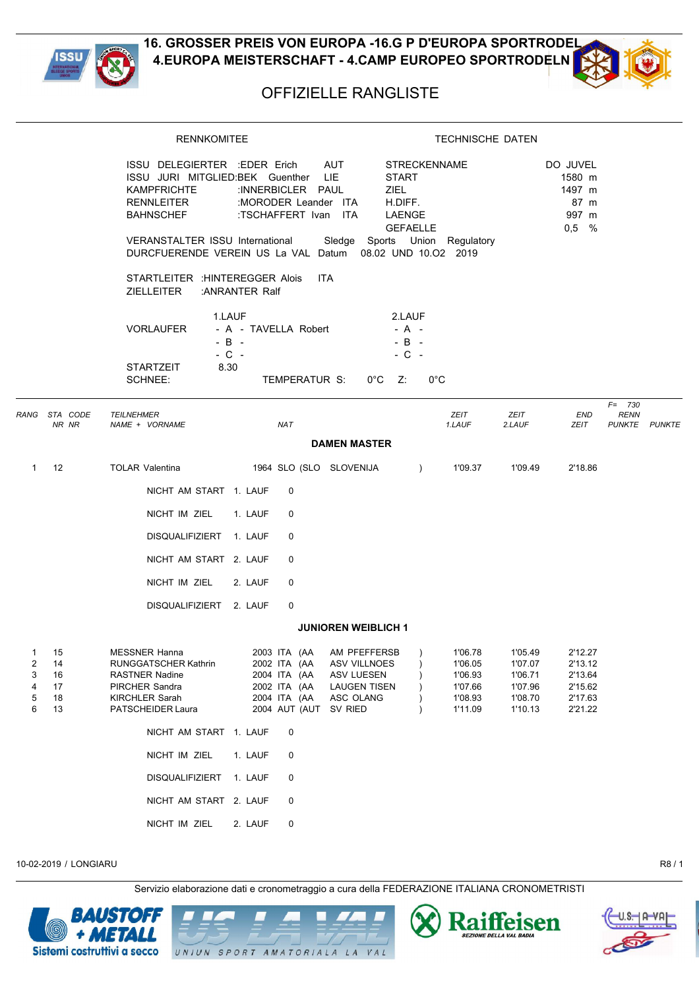



## OFFIZIELLE RANGLISTE

|                                       |                                  | <b>RENNKOMITEE</b>                                                                                                                                                                                                                                                                           |                                                                                                            |                                                                                              | <b>TECHNISCHE DATEN</b>                                                                                                        |                                                                |                                                                |                                           |  |
|---------------------------------------|----------------------------------|----------------------------------------------------------------------------------------------------------------------------------------------------------------------------------------------------------------------------------------------------------------------------------------------|------------------------------------------------------------------------------------------------------------|----------------------------------------------------------------------------------------------|--------------------------------------------------------------------------------------------------------------------------------|----------------------------------------------------------------|----------------------------------------------------------------|-------------------------------------------|--|
|                                       |                                  | ISSU DELEGIERTER :EDER Erich<br>ISSU JURI MITGLIED:BEK Guenther LIE<br><b>KAMPFRICHTE</b><br>RENNLEITER<br><b>BAHNSCHEF</b><br>VERANSTALTER ISSU International Sledge Sports Union Regulatory<br>DURCFUERENDE VEREIN US La VAL Datum 08.02 UND 10.02 2019<br>STARTLEITER : HINTEREGGER Alois | :INNERBICLER PAUL<br>:MORODER Leander ITA<br>:TSCHAFFERT Ivan ITA                                          | AUT<br><b>START</b><br>ZIEL<br>H.DIFF.<br><b>ITA</b>                                         | <b>STRECKENNAME</b><br>LAENGE<br><b>GEFAELLE</b>                                                                               |                                                                | DO JUVEL<br>1580 m<br>1497 m<br>87 m<br>997 m<br>$0,5$ %       |                                           |  |
|                                       |                                  | <b>ZIELLEITER</b><br><b>VORLAUFER</b><br><b>STARTZEIT</b><br><b>SCHNEE:</b>                                                                                                                                                                                                                  | :ANRANTER Ralf<br>1.LAUF<br>- A - TAVELLA Robert<br>$-B -$<br>$-C -$<br>8.30<br>TEMPERATUR S:              | $0^{\circ}C$ Z:                                                                              | 2.LAUF<br>$- A -$<br>$-B -$<br>$-$ C $-$<br>$0^{\circ}$ C                                                                      |                                                                |                                                                |                                           |  |
|                                       | RANG STA CODE<br>NR NR           | <b>TEILNEHMER</b><br>NAME + VORNAME                                                                                                                                                                                                                                                          | <b>NAT</b>                                                                                                 |                                                                                              | ZEIT<br>1.LAUF                                                                                                                 | ZEIT<br>2.LAUF                                                 | END<br>ZEIT                                                    | $F = 730$<br><b>RENN</b><br>PUNKTE PUNKTE |  |
|                                       |                                  |                                                                                                                                                                                                                                                                                              |                                                                                                            | <b>DAMEN MASTER</b>                                                                          |                                                                                                                                |                                                                |                                                                |                                           |  |
| $\mathbf{1}$                          | 12                               | <b>TOLAR Valentina</b>                                                                                                                                                                                                                                                                       | 1964 SLO (SLO SLOVENIJA                                                                                    |                                                                                              | 1'09.37<br>$\overline{\phantom{a}}$                                                                                            | 1'09.49                                                        | 2'18.86                                                        |                                           |  |
|                                       |                                  | NICHT AM START 1. LAUF                                                                                                                                                                                                                                                                       | 0                                                                                                          |                                                                                              |                                                                                                                                |                                                                |                                                                |                                           |  |
|                                       |                                  | NICHT IM ZIEL                                                                                                                                                                                                                                                                                | 1. LAUF<br>0                                                                                               |                                                                                              |                                                                                                                                |                                                                |                                                                |                                           |  |
|                                       |                                  | DISQUALIFIZIERT 1. LAUF                                                                                                                                                                                                                                                                      | 0                                                                                                          |                                                                                              |                                                                                                                                |                                                                |                                                                |                                           |  |
|                                       |                                  | NICHT AM START 2. LAUF                                                                                                                                                                                                                                                                       | 0                                                                                                          |                                                                                              |                                                                                                                                |                                                                |                                                                |                                           |  |
|                                       |                                  | NICHT IM ZIEL                                                                                                                                                                                                                                                                                | 2. LAUF<br>0                                                                                               |                                                                                              |                                                                                                                                |                                                                |                                                                |                                           |  |
|                                       |                                  | DISQUALIFIZIERT 2. LAUF                                                                                                                                                                                                                                                                      | 0                                                                                                          |                                                                                              |                                                                                                                                |                                                                |                                                                |                                           |  |
|                                       |                                  |                                                                                                                                                                                                                                                                                              |                                                                                                            | <b>JUNIOREN WEIBLICH 1</b>                                                                   |                                                                                                                                |                                                                |                                                                |                                           |  |
| $\mathbf{1}$<br>2<br>3<br>4<br>5<br>6 | 15<br>14<br>16<br>17<br>18<br>13 | <b>MESSNER Hanna</b><br>RUNGGATSCHER Kathrin<br><b>RASTNER Nadine</b><br>PIRCHER Sandra<br>KIRCHLER Sarah<br>PATSCHEIDER Laura<br>NICHT AM START 1. LAUF                                                                                                                                     | 2003 ITA (AA<br>2002 ITA (AA<br>2004 ITA (AA<br>2002 ITA (AA<br>2004 ITA (AA<br>2004 AUT (AUT SV RIED<br>0 | AM PFEFFERSB<br><b>ASV VILLNOES</b><br><b>ASV LUESEN</b><br><b>LAUGEN TISEN</b><br>ASC OLANG | 1'06.78<br>$\left( \begin{array}{c} 1 \end{array} \right)$<br>1'06.05<br>1'06.93<br>1'07.66<br>1'08.93<br>1'11.09<br>$\lambda$ | 1'05.49<br>1'07.07<br>1'06.71<br>1'07.96<br>1'08.70<br>1'10.13 | 2'12.27<br>2'13.12<br>2'13.64<br>2'15.62<br>2'17.63<br>2'21.22 |                                           |  |
|                                       |                                  | NICHT IM ZIEL                                                                                                                                                                                                                                                                                | 1. LAUF<br>0                                                                                               |                                                                                              |                                                                                                                                |                                                                |                                                                |                                           |  |
|                                       |                                  | DISQUALIFIZIERT                                                                                                                                                                                                                                                                              | 1. LAUF<br>0                                                                                               |                                                                                              |                                                                                                                                |                                                                |                                                                |                                           |  |
|                                       |                                  | NICHT AM START 2. LAUF<br>NICHT IM ZIEL                                                                                                                                                                                                                                                      | 0<br>2. LAUF<br>0                                                                                          |                                                                                              |                                                                                                                                |                                                                |                                                                |                                           |  |
|                                       |                                  |                                                                                                                                                                                                                                                                                              |                                                                                                            |                                                                                              |                                                                                                                                |                                                                |                                                                |                                           |  |

10-02-2019 / LONGIARU R8 / 1

Servizio elaborazione dati e cronometraggio a cura della FEDERAZIONE ITALIANA CRONOMETRISTI

UNIUN SPORT AMATORIALA LA VAL

**Raiffeisen EZIONE DELLA VAL BADI** 

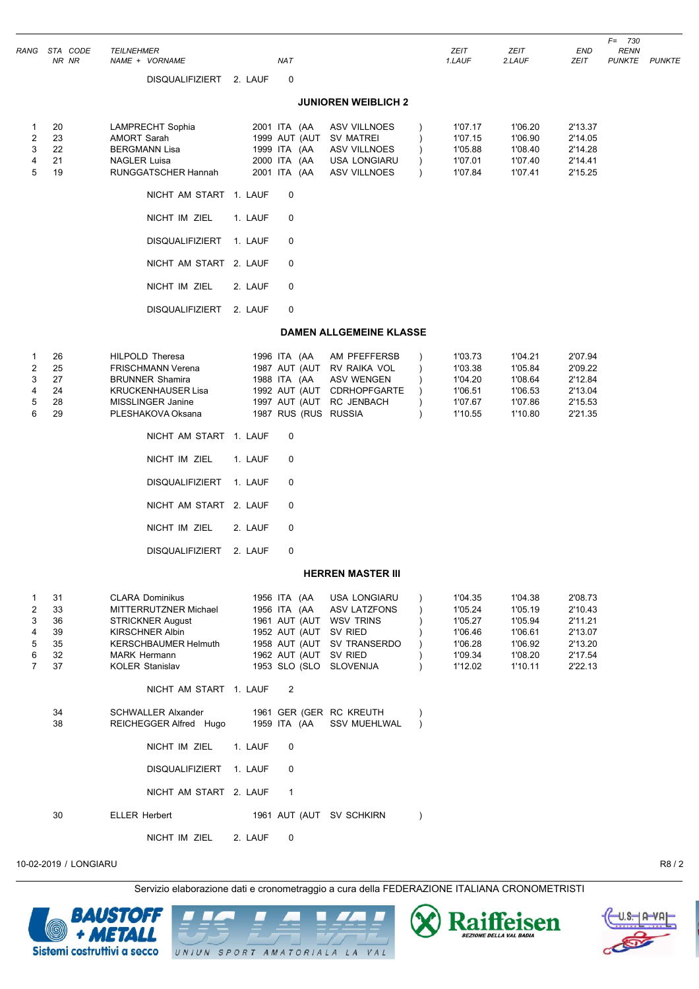|                                              | RANG STA CODE<br>NR NR                 | <b>TEILNEHMER</b><br>NAME + VORNAME                                                                                                                                                                                                                                                           | <b>NAT</b>                                                                                                                                                 |                                                                                        | ZEIT<br>1.LAUF                                                            | ZEIT<br>2.LAUF                                                            | END<br>ZEIT                                                               | <b>RENN</b><br>PUNKTE PUNKTE |  |
|----------------------------------------------|----------------------------------------|-----------------------------------------------------------------------------------------------------------------------------------------------------------------------------------------------------------------------------------------------------------------------------------------------|------------------------------------------------------------------------------------------------------------------------------------------------------------|----------------------------------------------------------------------------------------|---------------------------------------------------------------------------|---------------------------------------------------------------------------|---------------------------------------------------------------------------|------------------------------|--|
|                                              |                                        | DISQUALIFIZIERT 2. LAUF                                                                                                                                                                                                                                                                       | 0                                                                                                                                                          |                                                                                        |                                                                           |                                                                           |                                                                           |                              |  |
|                                              |                                        |                                                                                                                                                                                                                                                                                               |                                                                                                                                                            | <b>JUNIOREN WEIBLICH 2</b>                                                             |                                                                           |                                                                           |                                                                           |                              |  |
| 1<br>2<br>3<br>4<br>5                        | 20<br>23<br>22<br>21<br>19             | LAMPRECHT Sophia<br><b>AMORT Sarah</b><br><b>BERGMANN Lisa</b><br>NAGLER Luisa<br>RUNGGATSCHER Hannah                                                                                                                                                                                         | 2001 ITA (AA<br>1999 AUT (AUT SV MATREI<br>1999 ITA (AA<br>2000 ITA (AA<br>2001 ITA (AA                                                                    | ASV VILLNOES<br>ASV VILLNOES<br><b>USA LONGIARU</b><br>ASV VILLNOES                    | 1'07.17<br>1'07.15<br>1'05.88<br>1'07.01<br>1'07.84                       | 1'06.20<br>1'06.90<br>1'08.40<br>1'07.40<br>1'07.41                       | 2'13.37<br>2'14.05<br>2'14.28<br>2'14.41<br>2'15.25                       |                              |  |
|                                              |                                        | NICHT AM START 1. LAUF                                                                                                                                                                                                                                                                        | 0                                                                                                                                                          |                                                                                        |                                                                           |                                                                           |                                                                           |                              |  |
|                                              |                                        | NICHT IM ZIEL                                                                                                                                                                                                                                                                                 | 1. LAUF<br>0                                                                                                                                               |                                                                                        |                                                                           |                                                                           |                                                                           |                              |  |
|                                              |                                        | <b>DISQUALIFIZIERT</b>                                                                                                                                                                                                                                                                        | 1. LAUF<br>0                                                                                                                                               |                                                                                        |                                                                           |                                                                           |                                                                           |                              |  |
|                                              |                                        | NICHT AM START 2. LAUF                                                                                                                                                                                                                                                                        | 0                                                                                                                                                          |                                                                                        |                                                                           |                                                                           |                                                                           |                              |  |
|                                              |                                        | NICHT IM ZIEL                                                                                                                                                                                                                                                                                 | 2. LAUF<br>0                                                                                                                                               |                                                                                        |                                                                           |                                                                           |                                                                           |                              |  |
|                                              |                                        | DISQUALIFIZIERT 2. LAUF                                                                                                                                                                                                                                                                       | 0                                                                                                                                                          |                                                                                        |                                                                           |                                                                           |                                                                           |                              |  |
|                                              |                                        |                                                                                                                                                                                                                                                                                               |                                                                                                                                                            | <b>DAMEN ALLGEMEINE KLASSE</b>                                                         |                                                                           |                                                                           |                                                                           |                              |  |
| 1<br>$\overline{2}$<br>3<br>4<br>5<br>6      | 26<br>25<br>27<br>24<br>28<br>29       | <b>HILPOLD Theresa</b><br><b>FRISCHMANN Verena</b><br><b>BRUNNER Shamira</b><br><b>KRUCKENHAUSER Lisa</b><br>MISSLINGER Janine<br>PLESHAKOVA Oksana<br>NICHT AM START 1. LAUF<br>NICHT IM ZIEL<br><b>DISQUALIFIZIERT</b><br>NICHT AM START 2. LAUF<br>NICHT IM ZIEL<br><b>DISQUALIFIZIERT</b> | 1996 ITA (AA<br>1988 ITA (AA<br>1997 AUT (AUT RC JENBACH<br>1987 RUS (RUS RUSSIA<br>0<br>1. LAUF<br>0<br>1. LAUF<br>0<br>0<br>2. LAUF<br>0<br>2. LAUF<br>0 | AM PFEFFERSB<br>1987 AUT (AUT RV RAIKA VOL<br>ASV WENGEN<br>1992 AUT (AUT CDRHOPFGARTE | 1'03.73<br>1'03.38<br>1'04.20<br>1'06.51<br>1'07.67<br>1'10.55            | 1'04.21<br>1'05.84<br>1'08.64<br>1'06.53<br>1'07.86<br>1'10.80            | 2'07.94<br>2'09.22<br>2'12.84<br>2'13.04<br>2'15.53<br>2'21.35            |                              |  |
|                                              |                                        |                                                                                                                                                                                                                                                                                               |                                                                                                                                                            | <b>HERREN MASTER III</b>                                                               |                                                                           |                                                                           |                                                                           |                              |  |
| 1<br>2<br>3<br>4<br>5<br>6<br>$\overline{7}$ | 31<br>33<br>36<br>39<br>35<br>32<br>37 | <b>CLARA Dominikus</b><br>MITTERRUTZNER Michael<br><b>STRICKNER August</b><br><b>KIRSCHNER Albin</b><br><b>KERSCHBAUMER Helmuth</b><br>MARK Hermann<br>KOLER Stanislav<br>NICHT AM START 1. LAUF                                                                                              | 1956 ITA (AA<br>1956 ITA (AA<br>1961 AUT (AUT WSV TRINS<br>1952 AUT (AUT SV RIED<br>1962 AUT (AUT SV RIED<br>1953 SLO (SLO SLOVENIJA<br>$\overline{2}$     | <b>USA LONGIARU</b><br>ASV LATZFONS<br>1958 AUT (AUT SV TRANSERDO                      | 1'04.35<br>1'05.24<br>1'05.27<br>1'06.46<br>1'06.28<br>1'09.34<br>1'12.02 | 1'04.38<br>1'05.19<br>1'05.94<br>1'06.61<br>1'06.92<br>1'08.20<br>1'10.11 | 2'08.73<br>2'10.43<br>2'11.21<br>2'13.07<br>2'13.20<br>2'17.54<br>2'22.13 |                              |  |
|                                              | 34                                     | <b>SCHWALLER Alxander</b>                                                                                                                                                                                                                                                                     | 1961 GER (GER RC KREUTH                                                                                                                                    |                                                                                        |                                                                           |                                                                           |                                                                           |                              |  |
|                                              | 38                                     | REICHEGGER Alfred Hugo                                                                                                                                                                                                                                                                        | 1959 ITA (AA                                                                                                                                               | <b>SSV MUEHLWAL</b>                                                                    | $\lambda$                                                                 |                                                                           |                                                                           |                              |  |
|                                              |                                        | NICHT IM ZIEL<br>DISQUALIFIZIERT 1. LAUF                                                                                                                                                                                                                                                      | 0<br>1. LAUF<br>0                                                                                                                                          |                                                                                        |                                                                           |                                                                           |                                                                           |                              |  |
|                                              |                                        | NICHT AM START 2. LAUF                                                                                                                                                                                                                                                                        | $\mathbf{1}$                                                                                                                                               |                                                                                        |                                                                           |                                                                           |                                                                           |                              |  |
|                                              | 30                                     | <b>ELLER Herbert</b>                                                                                                                                                                                                                                                                          | 1961 AUT (AUT SV SCHKIRN                                                                                                                                   |                                                                                        |                                                                           |                                                                           |                                                                           |                              |  |

Servizio elaborazione dati e cronometraggio a cura della FEDERAZIONE ITALIANA CRONOMETRISTI



NICHT IM ZIEL 2. LAUF 0

UNIUN SPORT AMATORIALA LA VAL





*F= 730*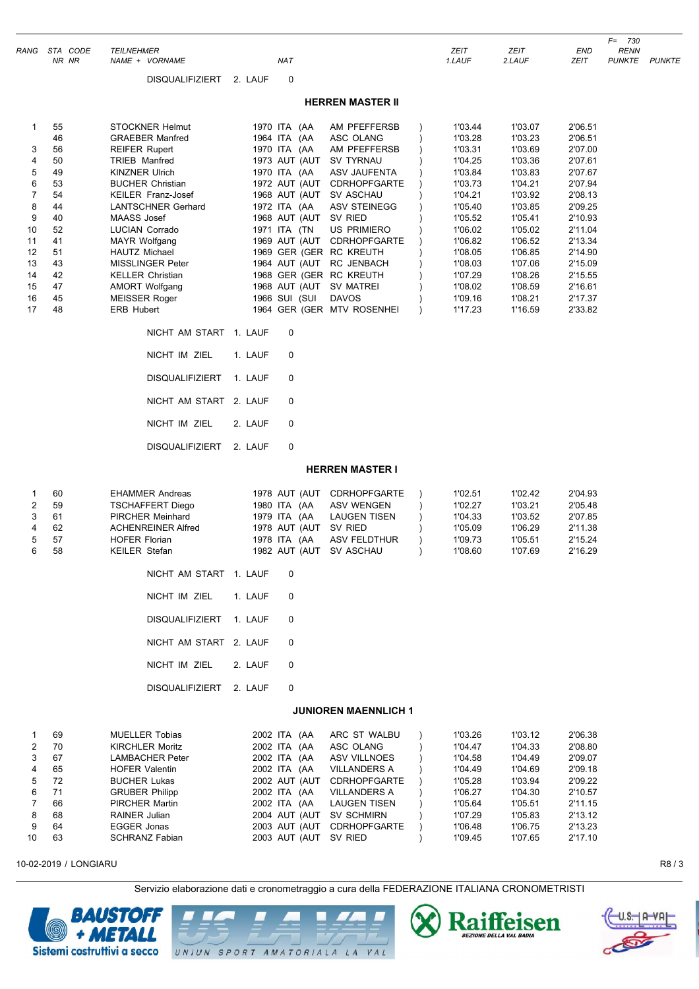| RANG                                                                                              | STA CODE<br>NR NR                                                                                  | <b>TEILNEHMER</b><br>NAME + VORNAME                                                                                                                                                                                                                                                                                                                                                                           | <b>NAT</b>                                                                                                                                                                                                                                                                          |                                                                                                                                                                                                                                                                     |                        | ZEIT<br>1.LAUF                                                                                                                                                                          | <b>ZEIT</b><br>2.LAUF                                                                                                                                                                   | END<br>ZEIT                                                                                                                                                                             | $F = 730$<br><b>RENN</b><br>PUNKTE | <b>PUNKTE</b> |
|---------------------------------------------------------------------------------------------------|----------------------------------------------------------------------------------------------------|---------------------------------------------------------------------------------------------------------------------------------------------------------------------------------------------------------------------------------------------------------------------------------------------------------------------------------------------------------------------------------------------------------------|-------------------------------------------------------------------------------------------------------------------------------------------------------------------------------------------------------------------------------------------------------------------------------------|---------------------------------------------------------------------------------------------------------------------------------------------------------------------------------------------------------------------------------------------------------------------|------------------------|-----------------------------------------------------------------------------------------------------------------------------------------------------------------------------------------|-----------------------------------------------------------------------------------------------------------------------------------------------------------------------------------------|-----------------------------------------------------------------------------------------------------------------------------------------------------------------------------------------|------------------------------------|---------------|
|                                                                                                   |                                                                                                    | <b>DISQUALIFIZIERT</b>                                                                                                                                                                                                                                                                                                                                                                                        | 0<br>2. LAUF                                                                                                                                                                                                                                                                        |                                                                                                                                                                                                                                                                     |                        |                                                                                                                                                                                         |                                                                                                                                                                                         |                                                                                                                                                                                         |                                    |               |
|                                                                                                   |                                                                                                    |                                                                                                                                                                                                                                                                                                                                                                                                               |                                                                                                                                                                                                                                                                                     | <b>HERREN MASTER II</b>                                                                                                                                                                                                                                             |                        |                                                                                                                                                                                         |                                                                                                                                                                                         |                                                                                                                                                                                         |                                    |               |
| 1<br>3<br>4<br>5<br>6<br>$\overline{7}$<br>8<br>9<br>10<br>11<br>12<br>13<br>14<br>15<br>16<br>17 | 55<br>46<br>56<br>50<br>49<br>53<br>54<br>44<br>40<br>52<br>41<br>51<br>43<br>42<br>47<br>45<br>48 | <b>STOCKNER Helmut</b><br><b>GRAEBER Manfred</b><br><b>REIFER Rupert</b><br><b>TRIEB Manfred</b><br><b>KINZNER Ulrich</b><br><b>BUCHER Christian</b><br><b>KEILER Franz-Josef</b><br><b>LANTSCHNER Gerhard</b><br>MAASS Josef<br>LUCIAN Corrado<br><b>MAYR Wolfgang</b><br>HAUTZ Michael<br><b>MISSLINGER Peter</b><br><b>KELLER Christian</b><br><b>AMORT Wolfgang</b><br>MEISSER Roger<br><b>ERB Hubert</b> | 1970 ITA (AA<br>1964 ITA (AA<br>1970 ITA (AA<br>1973 AUT (AUT<br>1970 ITA (AA<br>1972 AUT (AUT<br>1968 AUT (AUT<br>1972 ITA (AA<br>1968 AUT (AUT<br>1971 ITA (TN<br>1969 GER (GER RC KREUTH<br>1964 AUT (AUT<br>1968 GER (GER RC KREUTH<br>1968 AUT (AUT SV MATREI<br>1966 SUI (SUI | AM PFEFFERSB<br>ASC OLANG<br>AM PFEFFERSB<br>SV TYRNAU<br>ASV JAUFENTA<br><b>CDRHOPFGARTE</b><br><b>SV ASCHAU</b><br><b>ASV STEINEGG</b><br>SV RIED<br><b>US PRIMIERO</b><br>1969 AUT (AUT CDRHOPFGARTE<br>RC JENBACH<br><b>DAVOS</b><br>1964 GER (GER MTV ROSENHEI | $\lambda$<br>$\lambda$ | 1'03.44<br>1'03.28<br>1'03.31<br>1'04.25<br>1'03.84<br>1'03.73<br>1'04.21<br>1'05.40<br>1'05.52<br>1'06.02<br>1'06.82<br>1'08.05<br>1'08.03<br>1'07.29<br>1'08.02<br>1'09.16<br>1'17.23 | 1'03.07<br>1'03.23<br>1'03.69<br>1'03.36<br>1'03.83<br>1'04.21<br>1'03.92<br>1'03.85<br>1'05.41<br>1'05.02<br>1'06.52<br>1'06.85<br>1'07.06<br>1'08.26<br>1'08.59<br>1'08.21<br>1'16.59 | 2'06.51<br>2'06.51<br>2'07.00<br>2'07.61<br>2'07.67<br>2'07.94<br>2'08.13<br>2'09.25<br>2'10.93<br>2'11.04<br>2'13.34<br>2'14.90<br>2'15.09<br>2'15.55<br>2'16.61<br>2'17.37<br>2'33.82 |                                    |               |
|                                                                                                   |                                                                                                    | NICHT AM START 1. LAUF                                                                                                                                                                                                                                                                                                                                                                                        | $\mathbf 0$                                                                                                                                                                                                                                                                         |                                                                                                                                                                                                                                                                     |                        |                                                                                                                                                                                         |                                                                                                                                                                                         |                                                                                                                                                                                         |                                    |               |
|                                                                                                   |                                                                                                    | NICHT IM ZIEL                                                                                                                                                                                                                                                                                                                                                                                                 | 1. LAUF<br>0                                                                                                                                                                                                                                                                        |                                                                                                                                                                                                                                                                     |                        |                                                                                                                                                                                         |                                                                                                                                                                                         |                                                                                                                                                                                         |                                    |               |
|                                                                                                   |                                                                                                    | <b>DISQUALIFIZIERT</b>                                                                                                                                                                                                                                                                                                                                                                                        | 0<br>1. LAUF                                                                                                                                                                                                                                                                        |                                                                                                                                                                                                                                                                     |                        |                                                                                                                                                                                         |                                                                                                                                                                                         |                                                                                                                                                                                         |                                    |               |
|                                                                                                   |                                                                                                    | NICHT AM START 2. LAUF                                                                                                                                                                                                                                                                                                                                                                                        | 0                                                                                                                                                                                                                                                                                   |                                                                                                                                                                                                                                                                     |                        |                                                                                                                                                                                         |                                                                                                                                                                                         |                                                                                                                                                                                         |                                    |               |
|                                                                                                   |                                                                                                    | NICHT IM ZIEL                                                                                                                                                                                                                                                                                                                                                                                                 | 2. LAUF<br>0                                                                                                                                                                                                                                                                        |                                                                                                                                                                                                                                                                     |                        |                                                                                                                                                                                         |                                                                                                                                                                                         |                                                                                                                                                                                         |                                    |               |
|                                                                                                   |                                                                                                    | <b>DISQUALIFIZIERT</b>                                                                                                                                                                                                                                                                                                                                                                                        | 2. LAUF<br>0                                                                                                                                                                                                                                                                        |                                                                                                                                                                                                                                                                     |                        |                                                                                                                                                                                         |                                                                                                                                                                                         |                                                                                                                                                                                         |                                    |               |
|                                                                                                   |                                                                                                    |                                                                                                                                                                                                                                                                                                                                                                                                               |                                                                                                                                                                                                                                                                                     | <b>HERREN MASTER I</b>                                                                                                                                                                                                                                              |                        |                                                                                                                                                                                         |                                                                                                                                                                                         |                                                                                                                                                                                         |                                    |               |
| 1<br>2<br>3<br>4<br>5<br>6                                                                        | 60<br>59<br>61<br>62<br>57<br>58                                                                   | <b>EHAMMER Andreas</b><br><b>TSCHAFFERT Diego</b><br><b>PIRCHER Meinhard</b><br><b>ACHENREINER Alfred</b><br><b>HOFER Florian</b><br><b>KEILER Stefan</b>                                                                                                                                                                                                                                                     | 1980 ITA (AA<br>1979 ITA (AA<br>1978 AUT (AUT<br>1978 ITA (AA<br>1982 AUT (AUT                                                                                                                                                                                                      | 1978 AUT (AUT CDRHOPFGARTE<br><b>ASV WENGEN</b><br><b>LAUGEN TISEN</b><br>SV RIED<br>ASV FELDTHUR<br><b>SV ASCHAU</b>                                                                                                                                               | $\lambda$              | 1'02.51<br>1'02.27<br>1'04.33<br>1'05.09<br>1'09.73<br>1'08.60                                                                                                                          | 1'02.42<br>1'03.21<br>1'03.52<br>1'06.29<br>1'05.51<br>1'07.69                                                                                                                          | 2'04.93<br>2'05.48<br>2'07.85<br>2'11.38<br>2'15.24<br>2'16.29                                                                                                                          |                                    |               |
|                                                                                                   |                                                                                                    | NICHT AM START 1. LAUF                                                                                                                                                                                                                                                                                                                                                                                        | 0                                                                                                                                                                                                                                                                                   |                                                                                                                                                                                                                                                                     |                        |                                                                                                                                                                                         |                                                                                                                                                                                         |                                                                                                                                                                                         |                                    |               |
|                                                                                                   |                                                                                                    | NICHT IM ZIEL                                                                                                                                                                                                                                                                                                                                                                                                 | 1. LAUF<br>0                                                                                                                                                                                                                                                                        |                                                                                                                                                                                                                                                                     |                        |                                                                                                                                                                                         |                                                                                                                                                                                         |                                                                                                                                                                                         |                                    |               |
|                                                                                                   |                                                                                                    | <b>DISQUALIFIZIERT</b>                                                                                                                                                                                                                                                                                                                                                                                        | 1. LAUF<br>0                                                                                                                                                                                                                                                                        |                                                                                                                                                                                                                                                                     |                        |                                                                                                                                                                                         |                                                                                                                                                                                         |                                                                                                                                                                                         |                                    |               |
|                                                                                                   |                                                                                                    | NICHT AM START 2. LAUF                                                                                                                                                                                                                                                                                                                                                                                        | 0                                                                                                                                                                                                                                                                                   |                                                                                                                                                                                                                                                                     |                        |                                                                                                                                                                                         |                                                                                                                                                                                         |                                                                                                                                                                                         |                                    |               |
|                                                                                                   |                                                                                                    | NICHT IM ZIEL                                                                                                                                                                                                                                                                                                                                                                                                 | 2. LAUF<br>0                                                                                                                                                                                                                                                                        |                                                                                                                                                                                                                                                                     |                        |                                                                                                                                                                                         |                                                                                                                                                                                         |                                                                                                                                                                                         |                                    |               |
|                                                                                                   |                                                                                                    | <b>DISQUALIFIZIERT</b>                                                                                                                                                                                                                                                                                                                                                                                        | 2. LAUF<br>0                                                                                                                                                                                                                                                                        |                                                                                                                                                                                                                                                                     |                        |                                                                                                                                                                                         |                                                                                                                                                                                         |                                                                                                                                                                                         |                                    |               |
|                                                                                                   |                                                                                                    |                                                                                                                                                                                                                                                                                                                                                                                                               |                                                                                                                                                                                                                                                                                     | <b>JUNIOREN MAENNLICH 1</b>                                                                                                                                                                                                                                         |                        |                                                                                                                                                                                         |                                                                                                                                                                                         |                                                                                                                                                                                         |                                    |               |
| -1<br>2<br>3<br>4                                                                                 | 69<br>70<br>67<br>65                                                                               | <b>MUELLER Tobias</b><br><b>KIRCHLER Moritz</b><br><b>LAMBACHER Peter</b><br><b>HOFER Valentin</b>                                                                                                                                                                                                                                                                                                            | 2002 ITA (AA<br>2002 ITA (AA<br>2002 ITA (AA<br>2002 ITA (AA                                                                                                                                                                                                                        | ARC ST WALBU<br>ASC OLANG<br><b>ASV VILLNOES</b><br><b>VILLANDERS A</b>                                                                                                                                                                                             |                        | 1'03.26<br>1'04.47<br>1'04.58<br>1'04.49                                                                                                                                                | 1'03.12<br>1'04.33<br>1'04.49<br>1'04.69                                                                                                                                                | 2'06.38<br>2'08.80<br>2'09.07<br>2'09.18                                                                                                                                                |                                    |               |

| 4  | 65   | <b>HOFER Valentin</b> | 2002 ITA (AA              | VILLANDERS A               | 1'04.49 | 1'04.69 | 2'09.18 |
|----|------|-----------------------|---------------------------|----------------------------|---------|---------|---------|
| 5  | -72  | <b>BUCHER Lukas</b>   |                           | 2002 AUT (AUT CDRHOPFGARTE | 1'05.28 | 1'03.94 | 2'09.22 |
| 6  | - 71 | <b>GRUBER Philipp</b> | 2002 ITA (AA VILLANDERS A |                            | 1'06.27 | 1'04.30 | 2'10.57 |
|    | 66   | <b>PIRCHER Martin</b> | 2002 ITA (AA LAUGEN TISEN |                            | 1'05.64 | 1'05.51 | 2'11.15 |
|    | 68   | RAINER Julian         | 2004 AUT (AUT SV SCHMIRN  |                            | 1'07.29 | 1'05.83 | 2'13.12 |
| 9  | 64   | EGGER Jonas           |                           | 2003 AUT (AUT CDRHOPFGARTE | 1'06.48 | 1'06.75 | 2'13.23 |
| 10 | 63   | <b>SCHRANZ Fabian</b> | 2003 AUT (AUT SV RIED     |                            | 1'09.45 | 1'07.65 | 2'17.10 |
|    |      |                       |                           |                            |         |         |         |





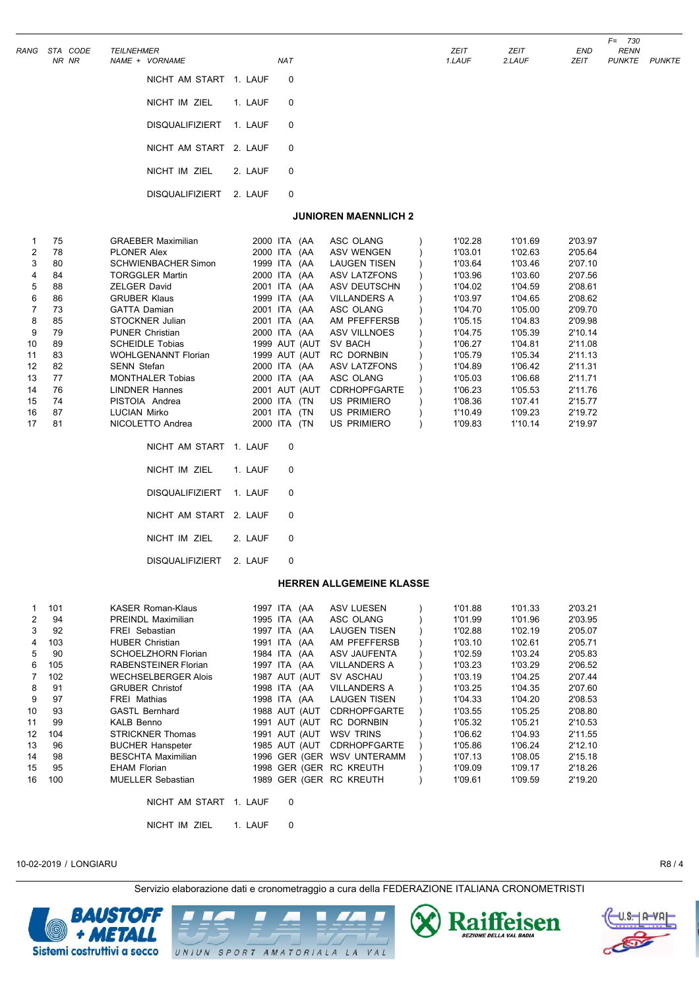| RANG | STA CODE<br>NR NR | <b>TEILNEHMER</b> | NAME + VORNAME            |           | <b>NAT</b>              | ZEIT<br>1.LAUF | <b>ZEIT</b><br>2.LAUF | END<br>ZEIT | <b>RENN</b><br><b>PUNKTE</b> |
|------|-------------------|-------------------|---------------------------|-----------|-------------------------|----------------|-----------------------|-------------|------------------------------|
|      |                   |                   | NICHT AM START 1. LAUF 0  |           |                         |                |                       |             |                              |
|      |                   |                   | NICHT IM ZIEL             | 1. LAUF 0 |                         |                |                       |             |                              |
|      |                   |                   | DISQUALIFIZIERT 1. LAUF 0 |           |                         |                |                       |             |                              |
|      |                   |                   | NICHT AM START 2. LAUF 0  |           |                         |                |                       |             |                              |
|      |                   |                   | NICHT IM ZIEL             | 2. LAUF   | $\overline{\mathbf{0}}$ |                |                       |             |                              |
|      |                   |                   | <b>DISQUALIFIZIERT</b>    | 2. LAUF   | $\Omega$                |                |                       |             |                              |

#### **JUNIOREN MAENNLICH 2**

|                | 75 | <b>GRAEBER Maximilian</b>  | 2000 ITA<br>(AA           | ASC OLANG           | 1'02.28 | 1'01.69 | 2'03.97 |
|----------------|----|----------------------------|---------------------------|---------------------|---------|---------|---------|
| $\overline{2}$ | 78 | <b>PLONER Alex</b>         | 2000 ITA<br>(AA           | <b>ASV WENGEN</b>   | 1'03.01 | 1'02.63 | 2'05.64 |
| 3              | 80 | <b>SCHWIENBACHER Simon</b> | <b>ITA</b><br>1999<br>(AA | <b>LAUGEN TISEN</b> | 1'03.64 | 1'03.46 | 2'07.10 |
| 4              | 84 | <b>TORGGLER Martin</b>     | 2000 ITA<br>(AA           | ASV LATZFONS        | 1'03.96 | 1'03.60 | 2'07.56 |
| 5              | 88 | <b>ZELGER David</b>        | 2001<br>ITA.<br>(AA       | ASV DEUTSCHN        | 1'04.02 | 1'04.59 | 2'08.61 |
| 6              | 86 | <b>GRUBER Klaus</b>        | 1999<br>ITA.<br>(AA       | <b>VILLANDERS A</b> | 1'03.97 | 1'04.65 | 2'08.62 |
|                | 73 | <b>GATTA Damian</b>        | ITA.<br>2001<br>(AA       | ASC OLANG           | 1'04.70 | 1'05.00 | 2'09.70 |
| 8              | 85 | STOCKNER Julian            | ITA<br>2001<br>(AA        | AM PFEFFERSB        | 1'05.15 | 1'04.83 | 2'09.98 |
| 9              | 79 | <b>PUNER Christian</b>     | 2000 ITA<br>(AA           | ASV VILLNOES        | 1'04.75 | 1'05.39 | 2'10.14 |
| 10             | 89 | <b>SCHEIDLE Tobias</b>     | 1999 AUT (AUT             | SV BACH             | 1'06.27 | 1'04.81 | 2'11.08 |
| 11             | 83 | <b>WOHLGENANNT Florian</b> | 1999 AUT (AUT             | RC DORNBIN          | 1'05.79 | 1'05.34 | 2'11.13 |
| 12             | 82 | <b>SENN Stefan</b>         | 2000 ITA<br>(AA           | ASV LATZFONS        | 1'04.89 | 1'06.42 | 2'11.31 |
| 13             | 77 | <b>MONTHALER Tobias</b>    | 2000 ITA<br>(AA           | ASC OLANG           | 1'05.03 | 1'06.68 | 2'11.71 |
| 14             | 76 | <b>LINDNER Hannes</b>      | AUT (AUT<br>2001          | <b>CDRHOPFGARTE</b> | 1'06.23 | 1'05.53 | 2'11.76 |
| 15             | 74 | PISTOIA Andrea             | ITA<br>2000<br>(TN        | <b>US PRIMIERO</b>  | 1'08.36 | 1'07.41 | 2'15.77 |
| 16             | 87 | <b>LUCIAN Mirko</b>        | ITA<br>2001<br>(TN        | <b>US PRIMIERO</b>  | 1'10.49 | 1'09.23 | 2'19.72 |
| 17             | 81 | NICOLETTO Andrea           | 2000<br>(TN<br><b>ITA</b> | US PRIMIERO         | 1'09.83 | 1'10.14 | 2'19.97 |
|                |    |                            |                           |                     |         |         |         |

| NICHT AM START 1. LAUF  |         |   |
|-------------------------|---------|---|
| NICHT IM ZIEL           | 1. LAUF | 0 |
| DISQUALIFIZIERT 1. LAUF |         | 0 |
| NICHT AM START 2. LAUF  |         | 0 |
| NICHT IM ZIEL           | 2. LAUF | 0 |
| DISQUALIFIZIERT 2. LAUF |         |   |

#### **HERREN ALLGEMEINE KLASSE**

| 1. | 101 | <b>KASER Roman-Klaus</b>    |         | (AA<br>1997 ITA | <b>ASV LUESEN</b>       | 1'01.88 | 1'01.33 | 2'03.21 |
|----|-----|-----------------------------|---------|-----------------|-------------------------|---------|---------|---------|
| 2  | 94  | PREINDL Maximilian          |         | 1995 ITA (AA    | ASC OLANG               | 1'01.99 | 1'01.96 | 2'03.95 |
| 3  | 92  | <b>FREI</b> Sebastian       |         | 1997 ITA (AA    | <b>LAUGEN TISEN</b>     | 1'02.88 | 1'02.19 | 2'05.07 |
| 4  | 103 | <b>HUBER Christian</b>      |         | 1991 ITA (AA    | AM PFEFFERSB            | 1'03.10 | 1'02.61 | 2'05.71 |
| 5  | 90  | SCHOELZHORN Florian         |         | 1984 ITA (AA    | ASV JAUFENTA            | 1'02.59 | 1'03.24 | 2'05.83 |
| 6  | 105 | <b>RABENSTEINER Florian</b> |         | 1997 ITA (AA    | <b>VILLANDERS A</b>     | 1'03.23 | 1'03.29 | 2'06.52 |
|    | 102 | <b>WECHSELBERGER Alois</b>  |         | 1987 AUT (AUT   | SV ASCHAU               | 1'03.19 | 1'04.25 | 2'07.44 |
| 8  | 91  | <b>GRUBER Christof</b>      |         | 1998 ITA (AA    | <b>VILLANDERS A</b>     | 1'03.25 | 1'04.35 | 2'07.60 |
| 9  | 97  | <b>FREI Mathias</b>         |         | 1998 ITA (AA    | <b>LAUGEN TISEN</b>     | 1'04.33 | 1'04.20 | 2'08.53 |
| 10 | 93  | <b>GASTL Bernhard</b>       |         | 1988 AUT (AUT   | <b>CDRHOPFGARTE</b>     | 1'03.55 | 1'05.25 | 2'08.80 |
| 11 | 99  | <b>KALB Benno</b>           |         | 1991 AUT (AUT   | <b>RC DORNBIN</b>       | 1'05.32 | 1'05.21 | 2'10.53 |
| 12 | 104 | <b>STRICKNER Thomas</b>     |         | 1991 AUT (AUT   | WSV TRINS               | 1'06.62 | 1'04.93 | 2'11.55 |
| 13 | 96  | <b>BUCHER Hanspeter</b>     |         | 1985 AUT (AUT   | <b>CDRHOPFGARTE</b>     | 1'05.86 | 1'06.24 | 2'12.10 |
| 14 | 98  | <b>BESCHTA Maximilian</b>   |         | 1996 GER (GER   | <b>WSV UNTERAMM</b>     | 1'07.13 | 1'08.05 | 2'15.18 |
| 15 | 95  | <b>EHAM Florian</b>         |         |                 | 1998 GER (GER RC KREUTH | 1'09.09 | 1'09.17 | 2'18.26 |
| 16 | 100 | <b>MUELLER Sebastian</b>    |         |                 | 1989 GER (GER RC KREUTH | 1'09.61 | 1'09.59 | 2'19.20 |
|    |     | NICHT AM START              | 1. LAUF | 0               |                         |         |         |         |

NICHT IM ZIEL 1. LAUF 0

10-02-2019 / LONGIARU R8 / 4

Servizio elaborazione dati e cronometraggio a cura della FEDERAZIONE ITALIANA CRONOMETRISTI



UNIUN SPORT AMATORIALA LA VAL





*F= 730*

*NR NR NAME + VORNAME NAT 1.LAUF 2.LAUF ZEIT PUNKTE PUNKTE*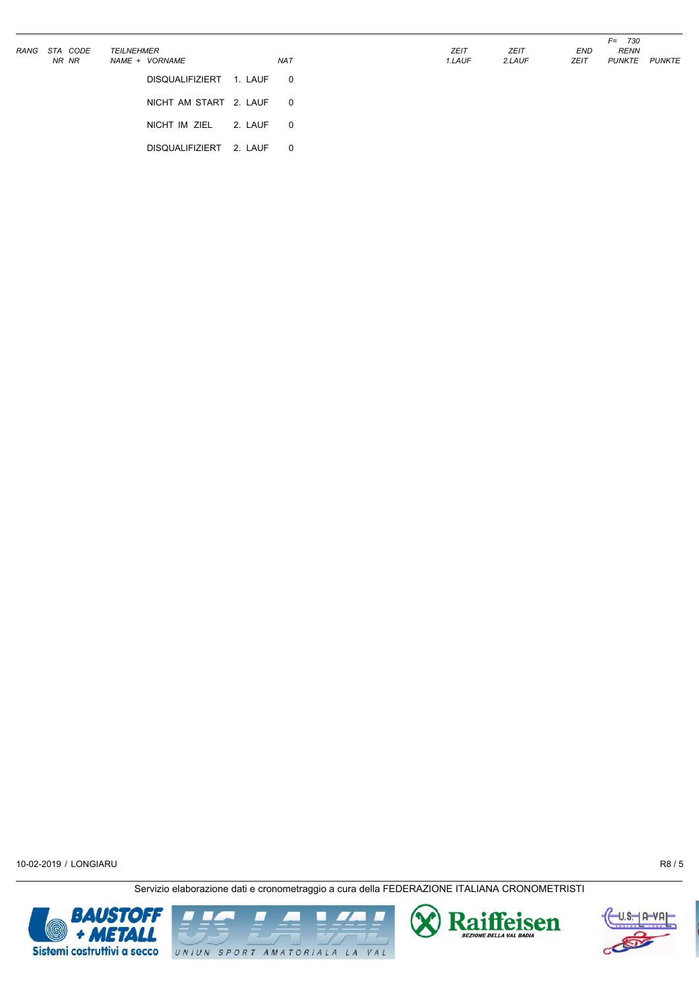| RANG | STA CODE<br>NR NR | <b>TEILNEHMER</b><br>NAME + VORNAME |         | <b>NAT</b>              | <b>ZEIT</b><br>1.LAUF | <b>ZEIT</b><br>2.LAUF | END<br>ZEIT | $F =$<br>730<br><b>RENN</b><br>PUNKTE | PUNKTE |
|------|-------------------|-------------------------------------|---------|-------------------------|-----------------------|-----------------------|-------------|---------------------------------------|--------|
|      |                   | <b>DISQUALIFIZIERT</b>              | 1. LAUF | $\overline{\mathbf{0}}$ |                       |                       |             |                                       |        |
|      |                   | NICHT AM START 2. LAUF 0            |         |                         |                       |                       |             |                                       |        |
|      |                   | NICHT IM ZIEL                       | 2. LAUF | $\overline{\mathbf{0}}$ |                       |                       |             |                                       |        |
|      |                   | <b>DISQUALIFIZIERT</b>              | 2. LAUF | - 0                     |                       |                       |             |                                       |        |





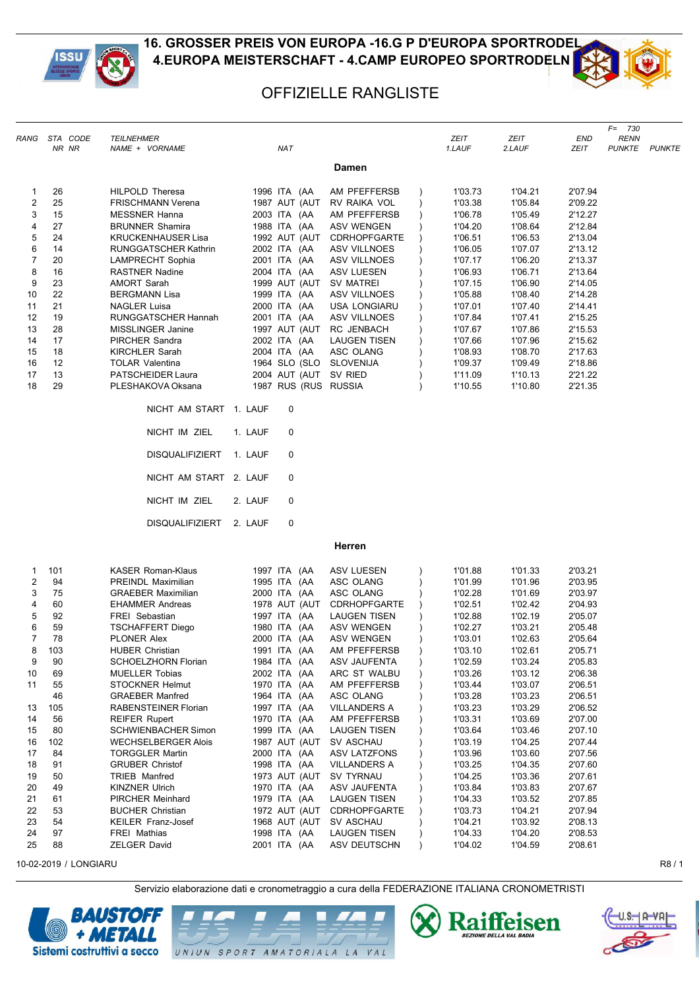



*F= 730*

## OFFIZIELLE RANGLISTE

|                | RANG STA CODE | <b>TEILNEHMER</b>                   |                              |                                     |           | ZEIT               | ZEIT               | END                | <b>RENN</b>          |  |
|----------------|---------------|-------------------------------------|------------------------------|-------------------------------------|-----------|--------------------|--------------------|--------------------|----------------------|--|
|                | NR NR         | NAME + VORNAME                      | <b>NAT</b>                   |                                     |           | 1.LAUF             | 2.LAUF             | ZEIT               | <b>PUNKTE PUNKTE</b> |  |
|                |               |                                     |                              | Damen                               |           |                    |                    |                    |                      |  |
| $\mathbf{1}$   | 26            | HILPOLD Theresa                     | 1996 ITA (AA                 | AM PFEFFERSB                        |           | 1'03.73            | 1'04.21            | 2'07.94            |                      |  |
| $\overline{c}$ | 25            | <b>FRISCHMANN Verena</b>            | 1987 AUT (AUT                | RV RAIKA VOL                        | $\lambda$ | 1'03.38            | 1'05.84            | 2'09.22            |                      |  |
| 3              | 15            | <b>MESSNER Hanna</b>                | 2003 ITA (AA                 | AM PFEFFERSB                        |           | 1'06.78            | 1'05.49            | 2'12.27            |                      |  |
| 4              | 27            | <b>BRUNNER Shamira</b>              | 1988 ITA (AA                 | <b>ASV WENGEN</b>                   |           | 1'04.20            | 1'08.64            | 2'12.84            |                      |  |
| 5              | 24            | <b>KRUCKENHAUSER Lisa</b>           | 1992 AUT (AUT                | <b>CDRHOPFGARTE</b>                 |           | 1'06.51            | 1'06.53            | 2'13.04            |                      |  |
| 6              | 14            | RUNGGATSCHER Kathrin                | 2002 ITA (AA                 | ASV VILLNOES                        |           | 1'06.05            | 1'07.07            | 2'13.12            |                      |  |
| $\overline{7}$ | 20            | <b>LAMPRECHT Sophia</b>             | 2001 ITA (AA                 | <b>ASV VILLNOES</b>                 |           | 1'07.17            | 1'06.20            | 2'13.37            |                      |  |
| 8              | 16            | <b>RASTNER Nadine</b>               | 2004 ITA (AA                 | ASV LUESEN                          |           | 1'06.93            | 1'06.71            | 2'13.64            |                      |  |
| 9              | 23            | <b>AMORT Sarah</b>                  | 1999 AUT (AUT                | SV MATREI                           |           | 1'07.15            | 1'06.90            | 2'14.05            |                      |  |
| 10             | 22            | <b>BERGMANN Lisa</b>                | 1999 ITA (AA                 | ASV VILLNOES                        |           | 1'05.88            | 1'08.40            | 2'14.28            |                      |  |
| 11             | 21            | <b>NAGLER Luisa</b>                 | 2000 ITA (AA                 | <b>USA LONGIARU</b>                 |           | 1'07.01            | 1'07.40            | 2'14.41            |                      |  |
| 12             | 19            | RUNGGATSCHER Hannah                 | 2001 ITA (AA                 | ASV VILLNOES                        |           | 1'07.84            | 1'07.41            | 2'15.25            |                      |  |
| 13             | 28            | MISSLINGER Janine                   | 1997 AUT (AUT                | RC JENBACH                          |           | 1'07.67            | 1'07.86            | 2'15.53            |                      |  |
| 14             | 17            | PIRCHER Sandra                      | 2002 ITA (AA                 | <b>LAUGEN TISEN</b>                 |           | 1'07.66            | 1'07.96            | 2'15.62            |                      |  |
| 15             | 18            | <b>KIRCHLER Sarah</b>               | 2004 ITA (AA                 | ASC OLANG                           |           | 1'08.93            | 1'08.70            | 2'17.63            |                      |  |
| 16             | 12            | <b>TOLAR Valentina</b>              | 1964 SLO (SLO SLOVENIJA      |                                     |           | 1'09.37            | 1'09.49            | 2'18.86            |                      |  |
| 17             | 13            | PATSCHEIDER Laura                   | 2004 AUT (AUT SV RIED        |                                     |           | 1'11.09            | 1'10.13            | 2'21.22            |                      |  |
| 18             | 29            | PLESHAKOVA Oksana                   | 1987 RUS (RUS RUSSIA         |                                     |           | 1'10.55            | 1'10.80            | 2'21.35            |                      |  |
|                |               | NICHT AM START 1. LAUF              | 0                            |                                     |           |                    |                    |                    |                      |  |
|                |               | NICHT IM ZIEL                       | 1. LAUF<br>0                 |                                     |           |                    |                    |                    |                      |  |
|                |               | <b>DISQUALIFIZIERT</b>              | 1. LAUF<br>0                 |                                     |           |                    |                    |                    |                      |  |
|                |               | NICHT AM START 2. LAUF              | 0                            |                                     |           |                    |                    |                    |                      |  |
|                |               | NICHT IM ZIEL                       | 2. LAUF<br>0                 |                                     |           |                    |                    |                    |                      |  |
|                |               | <b>DISQUALIFIZIERT</b>              | 2. LAUF<br>0                 |                                     |           |                    |                    |                    |                      |  |
|                |               |                                     |                              | Herren                              |           |                    |                    |                    |                      |  |
| 1              | 101           | <b>KASER Roman-Klaus</b>            | 1997 ITA (AA                 | ASV LUESEN                          | $\lambda$ | 1'01.88            | 1'01.33            | 2'03.21            |                      |  |
| $\overline{c}$ | 94            | PREINDL Maximilian                  | 1995 ITA (AA                 | ASC OLANG                           |           | 1'01.99            | 1'01.96            | 2'03.95            |                      |  |
| 3              | 75            | <b>GRAEBER Maximilian</b>           | 2000 ITA (AA                 | ASC OLANG                           |           | 1'02.28            | 1'01.69            | 2'03.97            |                      |  |
| 4              | 60            | <b>EHAMMER Andreas</b>              | 1978 AUT (AUT                | <b>CDRHOPFGARTE</b>                 |           | 1'02.51            | 1'02.42            | 2'04.93            |                      |  |
| 5              | 92            | FREI Sebastian                      | 1997 ITA (AA                 | <b>LAUGEN TISEN</b>                 |           | 1'02.88            | 1'02.19            | 2'05.07            |                      |  |
| 6              | 59            | <b>TSCHAFFERT Diego</b>             | 1980 ITA (AA                 | ASV WENGEN                          |           | 1'02.27            | 1'03.21            | 2'05.48            |                      |  |
| $\overline{7}$ | 78            | PLONER Alex                         | 2000 ITA (AA                 | ASV WENGEN                          |           | 1'03.01            | 1'02.63            | 2'05.64            |                      |  |
| 8              | 103           | HUBER Christian                     | 1991 ITA (AA                 | AM PFEFFERSB                        |           | 1'03.10            | 1'02.61            | 2'05.71            |                      |  |
| 9              | 90            | SCHOELZHORN Florian                 | 1984 ITA (AA                 | ASV JAUFENTA                        |           | 1'02.59            | 1'03.24            | 2'05.83            |                      |  |
| 10             | 69            | <b>MUELLER Tobias</b>               | 2002 ITA (AA                 | ARC ST WALBU                        | $\lambda$ | 1'03.26            | 1'03.12            | 2'06.38            |                      |  |
| 11             | 55            | <b>STOCKNER Helmut</b>              | 1970 ITA (AA                 | AM PFEFFERSB                        |           | 1'03.44            | 1'03.07            | 2'06.51            |                      |  |
|                | 46            | <b>GRAEBER Manfred</b>              | 1964 ITA (AA                 | ASC OLANG                           |           | 1'03.28            | 1'03.23            | 2'06.51            |                      |  |
| 13             | 105           | RABENSTEINER Florian                | 1997 ITA (AA                 | <b>VILLANDERS A</b>                 |           | 1'03.23            | 1'03.29            | 2'06.52            |                      |  |
| 14             | 56            | <b>REIFER Rupert</b>                | 1970 ITA (AA                 | AM PFEFFERSB                        |           | 1'03.31            | 1'03.69            | 2'07.00            |                      |  |
| 15             | 80            | SCHWIENBACHER Simon                 | 1999 ITA (AA                 | <b>LAUGEN TISEN</b>                 |           | 1'03.64            | 1'03.46            | 2'07.10            |                      |  |
| 16             | 102           | <b>WECHSELBERGER Alois</b>          | 1987 AUT (AUT                | SV ASCHAU                           |           | 1'03.19            | 1'04.25            | 2'07.44            |                      |  |
| 17             | 84            | <b>TORGGLER Martin</b>              | 2000 ITA (AA                 | ASV LATZFONS                        |           | 1'03.96            | 1'03.60            | 2'07.56            |                      |  |
| 18             | 91            | <b>GRUBER Christof</b>              | 1998 ITA (AA                 | <b>VILLANDERS A</b>                 |           | 1'03.25            | 1'04.35            | 2'07.60            |                      |  |
| 19             | 50            | TRIEB Manfred                       | 1973 AUT (AUT                | SV TYRNAU                           |           | 1'04.25            | 1'03.36            | 2'07.61            |                      |  |
| 20             | 49            | <b>KINZNER Ulrich</b>               | 1970 ITA (AA                 | ASV JAUFENTA                        |           | 1'03.84            | 1'03.83            | 2'07.67            |                      |  |
| 21             | 61            | PIRCHER Meinhard                    | 1979 ITA (AA                 | <b>LAUGEN TISEN</b>                 |           | 1'04.33            | 1'03.52            | 2'07.85            |                      |  |
| 22             | 53            | <b>BUCHER Christian</b>             | 1972 AUT (AUT                | <b>CDRHOPFGARTE</b>                 |           | 1'03.73            | 1'04.21            | 2'07.94            |                      |  |
| 23             | 54            | KEILER Franz-Josef                  | 1968 AUT (AUT                | SV ASCHAU                           |           | 1'04.21            | 1'03.92            | 2'08.13            |                      |  |
| 24<br>25       | 97<br>88      | <b>FREI Mathias</b><br>ZELGER David | 1998 ITA (AA<br>2001 ITA (AA | <b>LAUGEN TISEN</b><br>ASV DEUTSCHN |           | 1'04.33<br>1'04.02 | 1'04.20<br>1'04.59 | 2'08.53<br>2'08.61 |                      |  |

10-02-2019 / LONGIARU R8 / 1







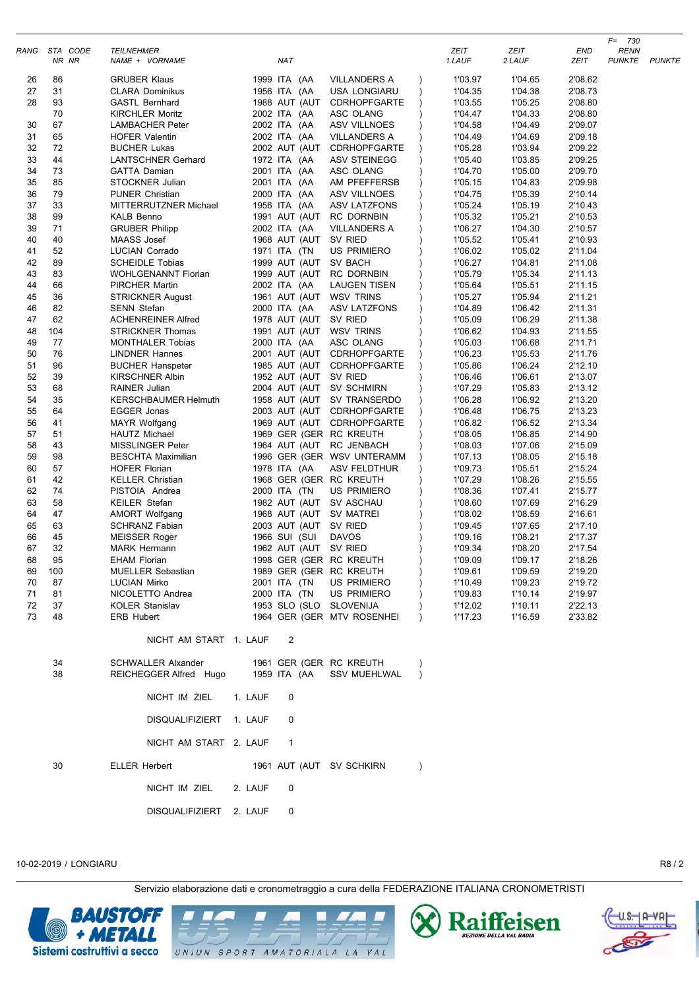|          |                        |                                                     |         |                       |                                                |                       |                    |                    | 730<br>F=                           |  |
|----------|------------------------|-----------------------------------------------------|---------|-----------------------|------------------------------------------------|-----------------------|--------------------|--------------------|-------------------------------------|--|
|          | RANG STA CODE<br>NR NR | <b>TEILNEHMER</b><br>NAME + VORNAME                 |         | <b>NAT</b>            |                                                | <b>ZEIT</b><br>1.LAUF | ZEIT<br>2.LAUF     | END<br><b>ZEIT</b> | <b>RENN</b><br><b>PUNKTE PUNKTE</b> |  |
| 26       | 86                     | <b>GRUBER Klaus</b>                                 |         | 1999 ITA (AA          | <b>VILLANDERS A</b>                            | 1'03.97               | 1'04.65            | 2'08.62            |                                     |  |
| 27       | 31                     | CLARA Dominikus                                     |         | 1956 ITA (AA          | <b>USA LONGIARU</b>                            | 1'04.35<br>$\lambda$  | 1'04.38            | 2'08.73            |                                     |  |
| 28       | 93                     | <b>GASTL Bernhard</b>                               |         | 1988 AUT (AUT         | <b>CDRHOPFGARTE</b>                            | 1'03.55               | 1'05.25            | 2'08.80            |                                     |  |
|          | 70                     | <b>KIRCHLER Moritz</b>                              |         | 2002 ITA (AA          | ASC OLANG                                      | 1'04.47               | 1'04.33            | 2'08.80            |                                     |  |
| 30       | 67                     | <b>LAMBACHER Peter</b>                              |         | 2002 ITA (AA          | <b>ASV VILLNOES</b>                            | 1'04.58               | 1'04.49            | 2'09.07            |                                     |  |
| 31       | 65                     | <b>HOFER Valentin</b>                               |         | 2002 ITA (AA          | VILLANDERS A                                   | 1'04.49               | 1'04.69            | 2'09.18            |                                     |  |
| 32       | 72                     | <b>BUCHER Lukas</b>                                 |         | 2002 AUT (AUT         | <b>CDRHOPFGARTE</b>                            | 1'05.28               | 1'03.94            | 2'09.22            |                                     |  |
| 33       | 44                     | <b>LANTSCHNER Gerhard</b>                           |         | 1972 ITA (AA          | ASV STEINEGG                                   | 1'05.40               | 1'03.85            | 2'09.25            |                                     |  |
| 34       | 73                     | <b>GATTA Damian</b>                                 |         | 2001 ITA (AA          | ASC OLANG                                      | 1'04.70               | 1'05.00            | 2'09.70            |                                     |  |
| 35       | 85                     | STOCKNER Julian                                     |         | 2001 ITA (AA          | AM PFEFFERSB                                   | 1'05.15               | 1'04.83            | 2'09.98            |                                     |  |
| 36       | 79                     | <b>PUNER Christian</b>                              |         | 2000 ITA (AA          | <b>ASV VILLNOES</b>                            | 1'04.75               | 1'05.39            | 2'10.14            |                                     |  |
| 37       | 33                     | MITTERRUTZNER Michael                               |         | 1956 ITA (AA          | ASV LATZFONS                                   | 1'05.24               | 1'05.19            | 2'10.43            |                                     |  |
| 38       | 99                     | <b>KALB Benno</b>                                   |         | 1991 AUT (AUT         | <b>RC DORNBIN</b>                              | 1'05.32               | 1'05.21            | 2'10.53            |                                     |  |
| 39       | 71                     | <b>GRUBER Philipp</b>                               |         | 2002 ITA (AA          | VILLANDERS A                                   | 1'06.27               | 1'04.30            | 2'10.57            |                                     |  |
| 40       | 40                     | MAASS Josef                                         |         | 1968 AUT (AUT SV RIED |                                                | 1'05.52               | 1'05.41            | 2'10.93            |                                     |  |
| 41       | 52                     | LUCIAN Corrado                                      |         | 1971 ITA (TN          | <b>US PRIMIERO</b>                             | 1'06.02               | 1'05.02            | 2'11.04            |                                     |  |
| 42       | 89                     | <b>SCHEIDLE Tobias</b>                              |         | 1999 AUT (AUT SV BACH |                                                | 1'06.27               | 1'04.81            | 2'11.08            |                                     |  |
| 43       | 83                     | <b>WOHLGENANNT Florian</b>                          |         | 1999 AUT (AUT         | <b>RC DORNBIN</b>                              | 1'05.79               | 1'05.34            | 2'11.13            |                                     |  |
| 44       | 66                     | <b>PIRCHER Martin</b>                               |         | 2002 ITA (AA          | <b>LAUGEN TISEN</b>                            | 1'05.64               | 1'05.51            | 2'11.15            |                                     |  |
| 45       | 36                     | STRICKNER August                                    |         | 1961 AUT (AUT         | WSV TRINS                                      | 1'05.27               | 1'05.94            | 2'11.21            |                                     |  |
| 46       | 82                     | <b>SENN Stefan</b>                                  |         | 2000 ITA (AA          | ASV LATZFONS                                   | 1'04.89               | 1'06.42            | 2'11.31            |                                     |  |
| 47       | 62                     | <b>ACHENREINER Alfred</b>                           |         | 1978 AUT (AUT SV RIED |                                                | 1'05.09               | 1'06.29            | 2'11.38            |                                     |  |
| 48       | 104                    | <b>STRICKNER Thomas</b>                             |         |                       | 1991 AUT (AUT WSV TRINS                        | 1'06.62               | 1'04.93            | 2'11.55            |                                     |  |
| 49       | 77                     | <b>MONTHALER Tobias</b>                             |         | 2000 ITA (AA          | ASC OLANG                                      | 1'05.03               | 1'06.68            | 2'11.71            |                                     |  |
| 50       | 76                     | <b>LINDNER Hannes</b>                               |         | 2001 AUT (AUT         | <b>CDRHOPFGARTE</b>                            | 1'06.23               | 1'05.53            | 2'11.76            |                                     |  |
| 51       | 96                     | <b>BUCHER Hanspeter</b>                             |         | 1985 AUT (AUT         | <b>CDRHOPFGARTE</b>                            | 1'05.86               | 1'06.24            | 2'12.10            |                                     |  |
| 52       | 39                     | <b>KIRSCHNER Albin</b>                              |         | 1952 AUT (AUT SV RIED |                                                | 1'06.46               | 1'06.61            | 2'13.07            |                                     |  |
| 53       | 68                     | RAINER Julian                                       |         |                       | 2004 AUT (AUT SV SCHMIRN                       | 1'07.29               | 1'05.83            | 2'13.12            |                                     |  |
| 54       | 35                     | <b>KERSCHBAUMER Helmuth</b>                         |         |                       | 1958 AUT (AUT SV TRANSERDO                     | 1'06.28               | 1'06.92            | 2'13.20            |                                     |  |
| 55       | 64                     | EGGER Jonas                                         |         |                       | 2003 AUT (AUT CDRHOPFGARTE                     | 1'06.48               | 1'06.75            | 2'13.23            |                                     |  |
| 56       | 41                     | <b>MAYR Wolfgang</b>                                |         |                       | 1969 AUT (AUT CDRHOPFGARTE                     | 1'06.82               | 1'06.52            | 2'13.34            |                                     |  |
| 57       | 51                     | <b>HAUTZ Michael</b>                                |         |                       | 1969 GER (GER RC KREUTH                        | 1'08.05               | 1'06.85            | 2'14.90            |                                     |  |
| 58       | 43                     | <b>MISSLINGER Peter</b>                             |         |                       | 1964 AUT (AUT RC JENBACH                       | 1'08.03               | 1'07.06            | 2'15.09            |                                     |  |
| 59       | 98                     | <b>BESCHTA Maximilian</b>                           |         |                       | 1996 GER (GER WSV UNTERAMM                     | 1'07.13               | 1'08.05            | 2'15.18            |                                     |  |
| 60       | 57                     | <b>HOFER Florian</b>                                |         | 1978 ITA (AA          | ASV FELDTHUR                                   | 1'09.73               | 1'05.51            | 2'15.24            |                                     |  |
| 61       | 42                     | <b>KELLER Christian</b>                             |         |                       | 1968 GER (GER RC KREUTH                        | 1'07.29               | 1'08.26            | 2'15.55            |                                     |  |
| 62       | 74                     | PISTOIA Andrea                                      |         | 2000 ITA (TN          | <b>US PRIMIERO</b>                             | 1'08.36               | 1'07.41            | 2'15.77            |                                     |  |
| 63       | 58                     | <b>KEILER Stefan</b>                                |         |                       | 1982 AUT (AUT SV ASCHAU                        | 1'08.60               | 1'07.69            | 2'16.29            |                                     |  |
| 64       | 47                     | <b>AMORT Wolfgang</b>                               |         |                       | 1968 AUT (AUT SV MATREI                        | 1'08.02               | 1'08.59            | 2'16.61            |                                     |  |
| 65       | 63                     | <b>SCHRANZ Fabian</b>                               |         | 2003 AUT (AUT SV RIED |                                                | 1'09.45               | 1'07.65            | 2'17.10            |                                     |  |
| 66       | 45                     | <b>MEISSER Roger</b>                                |         | 1966 SUI (SUI         | <b>DAVOS</b>                                   | 1'09.16               | 1'08.21            | 2'17.37            |                                     |  |
| 67<br>68 | 32<br>95               | <b>MARK Hermann</b>                                 |         | 1962 AUT (AUT SV RIED |                                                | 1'09.34               | 1'08.20            | 2'17.54            |                                     |  |
|          |                        | <b>EHAM Florian</b>                                 |         |                       | 1998 GER (GER RC KREUTH                        | 1'09.09               | 1'09.17            | 2'18.26<br>2'19.20 |                                     |  |
| 69       | 100                    | <b>MUELLER Sebastian</b><br><b>LUCIAN Mirko</b>     |         | 2001 ITA (TN          | 1989 GER (GER RC KREUTH<br>US PRIMIERO         | 1'09.61<br>1'10.49    | 1'09.59<br>1'09.23 | 2'19.72            |                                     |  |
| 70<br>71 | 87<br>81               | NICOLETTO Andrea                                    |         | 2000 ITA (TN          | <b>US PRIMIERO</b>                             | 1'09.83               | 1'10.14            | 2'19.97            |                                     |  |
| 72       | 37                     | <b>KOLER Stanislav</b>                              |         |                       | 1953 SLO (SLO SLOVENIJA                        | 1'12.02               | 1'10.11            | 2'22.13            |                                     |  |
| 73       | 48                     | ERB Hubert                                          |         |                       | 1964 GER (GER MTV ROSENHEI                     | 1'17.23<br>$\lambda$  | 1'16.59            | 2'33.82            |                                     |  |
|          |                        | NICHT AM START 1. LAUF                              |         | 2                     |                                                |                       |                    |                    |                                     |  |
|          |                        |                                                     |         |                       |                                                |                       |                    |                    |                                     |  |
|          | 34<br>38               | <b>SCHWALLER Alxander</b><br>REICHEGGER Alfred Hugo |         | 1959 ITA (AA          | 1961 GER (GER RC KREUTH<br><b>SSV MUEHLWAL</b> | $\lambda$             |                    |                    |                                     |  |
|          |                        | NICHT IM ZIEL                                       | 1. LAUF | 0                     |                                                |                       |                    |                    |                                     |  |
|          |                        | DISQUALIFIZIERT 1. LAUF                             |         | 0                     |                                                |                       |                    |                    |                                     |  |
|          |                        | NICHT AM START 2. LAUF                              |         | $\overline{1}$        |                                                |                       |                    |                    |                                     |  |
|          | 30                     | ELLER Herbert                                       |         |                       | 1961 AUT (AUT SV SCHKIRN                       | $\lambda$             |                    |                    |                                     |  |
|          |                        | NICHT IM ZIEL                                       | 2. LAUF | 0                     |                                                |                       |                    |                    |                                     |  |
|          |                        | DISQUALIFIZIERT 2. LAUF                             |         | 0                     |                                                |                       |                    |                    |                                     |  |

Servizio elaborazione dati e cronometraggio a cura della FEDERAZIONE ITALIANA CRONOMETRISTI



UNIUN SPORT AMATORIALA LA VAL



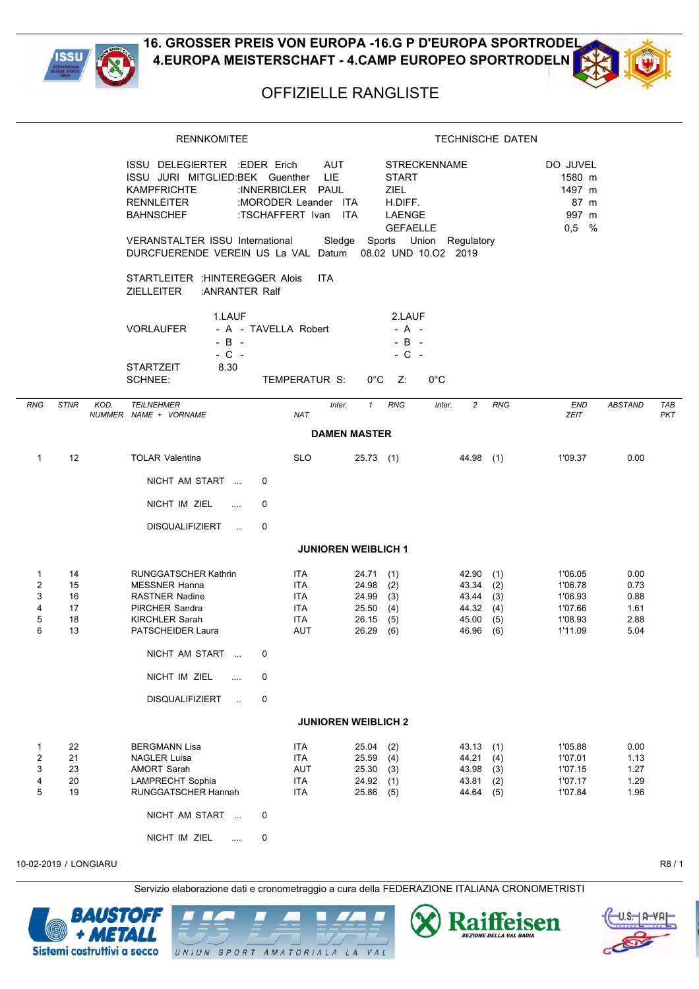



## OFFIZIELLE RANGLISTE

|                            |                                  | <b>RENNKOMITEE</b>                                                                                                                                                 |                                                                                               | <b>TECHNISCHE DATEN</b>                                                                  |                                                                          |                                                                                                   |                                              |  |  |  |  |  |
|----------------------------|----------------------------------|--------------------------------------------------------------------------------------------------------------------------------------------------------------------|-----------------------------------------------------------------------------------------------|------------------------------------------------------------------------------------------|--------------------------------------------------------------------------|---------------------------------------------------------------------------------------------------|----------------------------------------------|--|--|--|--|--|
|                            |                                  | ISSU DELEGIERTER : EDER Erich<br>ISSU JURI MITGLIED:BEK Guenther<br><b>KAMPFRICHTE</b><br><b>RENNLEITER</b><br><b>BAHNSCHEF</b><br>VERANSTALTER ISSU International | <b>AUT</b><br><b>LIE</b><br>:INNERBICLER PAUL<br>:MORODER Leander ITA<br>:TSCHAFFERT Ivan ITA | <b>START</b><br><b>ZIEL</b><br>H.DIFF.<br>LAENGE                                         | <b>STRECKENNAME</b><br><b>GEFAELLE</b><br>Sledge Sports Union Regulatory | DO JUVEL<br>1580 m<br>1497 m<br>87 m<br>997 m<br>$0,5$ %                                          |                                              |  |  |  |  |  |
|                            |                                  | DURCFUERENDE VEREIN US La VAL Datum 08.02 UND 10.02 2019<br>STARTLEITER : HINTEREGGER Alois<br><b>ZIELLEITER</b><br>: ANRANTER Ralf                                | <b>ITA</b>                                                                                    |                                                                                          |                                                                          |                                                                                                   |                                              |  |  |  |  |  |
|                            |                                  | 1.LAUF<br><b>VORLAUFER</b><br>$-B -$<br>$-$ C $-$<br>8.30<br>STARTZEIT                                                                                             | - A - TAVELLA Robert                                                                          | 2.LAUF<br>$- A -$<br>$-B -$<br>$-$ C $-$                                                 |                                                                          |                                                                                                   |                                              |  |  |  |  |  |
|                            |                                  | <b>SCHNEE:</b>                                                                                                                                                     | TEMPERATUR S:                                                                                 | $0^{\circ}$ C<br>Z:                                                                      | $0^{\circ}$ C                                                            |                                                                                                   |                                              |  |  |  |  |  |
| RNG                        | <b>STNR</b>                      | KOD.<br><b>TEILNEHMER</b><br>NUMMER NAME + VORNAME                                                                                                                 | Inter.<br><b>NAT</b>                                                                          | <b>RNG</b><br>$\mathbf{1}$                                                               | $\overline{c}$<br>Inter.                                                 | <b>RNG</b><br><b>END</b><br>ZEIT                                                                  | <b>ABSTAND</b><br><b>TAB</b><br><b>PKT</b>   |  |  |  |  |  |
|                            |                                  |                                                                                                                                                                    |                                                                                               | <b>DAMEN MASTER</b>                                                                      |                                                                          |                                                                                                   |                                              |  |  |  |  |  |
| $\mathbf{1}$               | 12                               | <b>TOLAR Valentina</b>                                                                                                                                             | <b>SLO</b>                                                                                    | 25.73(1)                                                                                 | $44.98$ (1)                                                              | 1'09.37                                                                                           | 0.00                                         |  |  |  |  |  |
|                            |                                  | NICHT AM START                                                                                                                                                     | 0                                                                                             |                                                                                          |                                                                          |                                                                                                   |                                              |  |  |  |  |  |
|                            |                                  | NICHT IM ZIEL<br>$\ldots$                                                                                                                                          | 0                                                                                             |                                                                                          |                                                                          |                                                                                                   |                                              |  |  |  |  |  |
|                            |                                  | <b>DISQUALIFIZIERT</b><br>$\sim$                                                                                                                                   | 0                                                                                             |                                                                                          |                                                                          |                                                                                                   |                                              |  |  |  |  |  |
|                            |                                  |                                                                                                                                                                    |                                                                                               | <b>JUNIOREN WEIBLICH 1</b>                                                               |                                                                          |                                                                                                   |                                              |  |  |  |  |  |
| 1<br>2<br>3<br>4<br>5<br>6 | 14<br>15<br>16<br>17<br>18<br>13 | <b>RUNGGATSCHER Kathrin</b><br><b>MESSNER Hanna</b><br><b>RASTNER Nadine</b><br>PIRCHER Sandra<br><b>KIRCHLER Sarah</b><br>PATSCHEIDER Laura                       | ITA.<br>ITA<br>ITA<br><b>ITA</b><br><b>ITA</b><br>AUT                                         | 24.71(1)<br>24.98<br>(2)<br>24.99<br>(3)<br>25.50<br>(4)<br>26.15<br>(5)<br>26.29<br>(6) | 42.90<br>43.34<br>43.44<br>44.32 (4)<br>45.00<br>46.96                   | 1'06.05<br>(1)<br>(2)<br>1'06.78<br>1'06.93<br>(3)<br>1'07.66<br>1'08.93<br>(5)<br>(6)<br>1'11.09 | 0.00<br>0.73<br>0.88<br>1.61<br>2.88<br>5.04 |  |  |  |  |  |
|                            |                                  | NICHT AM START                                                                                                                                                     | 0                                                                                             |                                                                                          |                                                                          |                                                                                                   |                                              |  |  |  |  |  |
|                            |                                  | NICHT IM ZIEL<br>$\ddotsc$                                                                                                                                         | 0                                                                                             |                                                                                          |                                                                          |                                                                                                   |                                              |  |  |  |  |  |
|                            |                                  | <b>DISQUALIFIZIERT</b><br>$\sim$                                                                                                                                   | 0                                                                                             |                                                                                          |                                                                          |                                                                                                   |                                              |  |  |  |  |  |
|                            |                                  |                                                                                                                                                                    |                                                                                               | <b>JUNIOREN WEIBLICH 2</b>                                                               |                                                                          |                                                                                                   |                                              |  |  |  |  |  |
| 1<br>2<br>3<br>4<br>5      | 22<br>21<br>23<br>20<br>19       | <b>BERGMANN Lisa</b><br><b>NAGLER Luisa</b><br>AMORT Sarah<br><b>LAMPRECHT Sophia</b><br>RUNGGATSCHER Hannah                                                       | ITA<br>ITA<br>AUT<br>ITA<br>ITA                                                               | 25.04<br>(2)<br>25.59<br>(4)<br>25.30<br>(3)<br>24.92<br>(1)<br>25.86<br>(5)             | 43.13<br>44.21<br>43.98<br>43.81<br>44.64                                | 1'05.88<br>(1)<br>(4)<br>1'07.01<br>(3)<br>1'07.15<br>1'07.17<br>(2)<br>1'07.84<br>(5)            | 0.00<br>1.13<br>1.27<br>1.29<br>1.96         |  |  |  |  |  |
|                            |                                  | NICHT AM START                                                                                                                                                     | 0                                                                                             |                                                                                          |                                                                          |                                                                                                   |                                              |  |  |  |  |  |
|                            |                                  | NICHT IM ZIEL<br>.                                                                                                                                                 | 0                                                                                             |                                                                                          |                                                                          |                                                                                                   |                                              |  |  |  |  |  |

10-02-2019 / LONGIARU R8 / 1





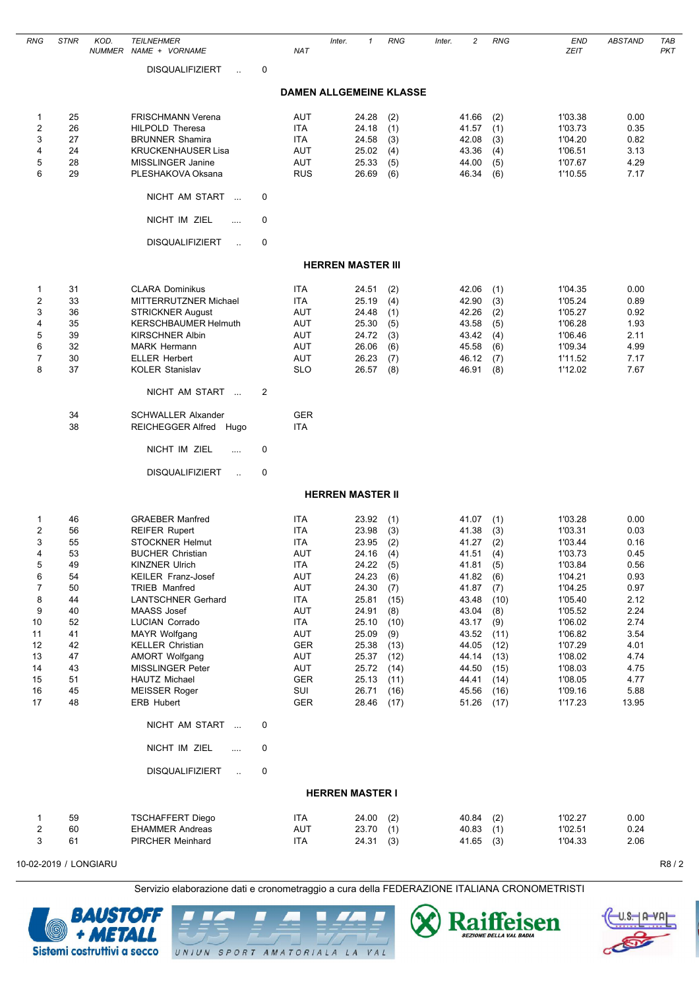| RNG                                                                                                    | <b>STNR</b>                                                                                        | KOD. | <b>TEILNEHMER</b><br>NUMMER NAME + VORNAME                                                                                                                                                                                                                                                                                                                                                                                                                                                             |             | <b>NAT</b>                                                                                                                                                                  | Inter.                   | $\mathbf{1}$                                                                                                                                          | <b>RNG</b>                                                                                                                  | Inter. | $\overline{c}$                                                                                                                                        | <b>RNG</b>                                                                                                                  | <b>END</b><br><b>ZEIT</b>                                                                                                                                                               | ABSTAND                                                                                                                               | TAB<br><b>PKT</b> |
|--------------------------------------------------------------------------------------------------------|----------------------------------------------------------------------------------------------------|------|--------------------------------------------------------------------------------------------------------------------------------------------------------------------------------------------------------------------------------------------------------------------------------------------------------------------------------------------------------------------------------------------------------------------------------------------------------------------------------------------------------|-------------|-----------------------------------------------------------------------------------------------------------------------------------------------------------------------------|--------------------------|-------------------------------------------------------------------------------------------------------------------------------------------------------|-----------------------------------------------------------------------------------------------------------------------------|--------|-------------------------------------------------------------------------------------------------------------------------------------------------------|-----------------------------------------------------------------------------------------------------------------------------|-----------------------------------------------------------------------------------------------------------------------------------------------------------------------------------------|---------------------------------------------------------------------------------------------------------------------------------------|-------------------|
|                                                                                                        |                                                                                                    |      | <b>DISQUALIFIZIERT</b><br>$\ddot{\phantom{a}}$                                                                                                                                                                                                                                                                                                                                                                                                                                                         | 0           |                                                                                                                                                                             |                          |                                                                                                                                                       |                                                                                                                             |        |                                                                                                                                                       |                                                                                                                             |                                                                                                                                                                                         |                                                                                                                                       |                   |
|                                                                                                        |                                                                                                    |      |                                                                                                                                                                                                                                                                                                                                                                                                                                                                                                        |             |                                                                                                                                                                             |                          |                                                                                                                                                       | <b>DAMEN ALLGEMEINE KLASSE</b>                                                                                              |        |                                                                                                                                                       |                                                                                                                             |                                                                                                                                                                                         |                                                                                                                                       |                   |
| 1<br>$\overline{c}$<br>3<br>4<br>5                                                                     | 25<br>26<br>27<br>24<br>28                                                                         |      | <b>FRISCHMANN Verena</b><br><b>HILPOLD Theresa</b><br><b>BRUNNER Shamira</b><br><b>KRUCKENHAUSER Lisa</b><br><b>MISSLINGER Janine</b>                                                                                                                                                                                                                                                                                                                                                                  |             | <b>AUT</b><br><b>ITA</b><br><b>ITA</b><br><b>AUT</b><br><b>AUT</b>                                                                                                          |                          | 24.28<br>24.18<br>24.58<br>25.02<br>25.33                                                                                                             | (2)<br>(1)<br>(3)<br>(4)<br>(5)                                                                                             |        | 41.66<br>41.57<br>42.08<br>43.36<br>44.00                                                                                                             | (2)<br>(1)<br>(3)<br>(4)<br>(5)                                                                                             | 1'03.38<br>1'03.73<br>1'04.20<br>1'06.51<br>1'07.67                                                                                                                                     | 0.00<br>0.35<br>0.82<br>3.13<br>4.29                                                                                                  |                   |
| 6                                                                                                      | 29                                                                                                 |      | PLESHAKOVA Oksana<br>NICHT AM START<br>$\sim$                                                                                                                                                                                                                                                                                                                                                                                                                                                          | 0           | <b>RUS</b>                                                                                                                                                                  |                          | 26.69                                                                                                                                                 | (6)                                                                                                                         |        | 46.34                                                                                                                                                 | (6)                                                                                                                         | 1'10.55                                                                                                                                                                                 | 7.17                                                                                                                                  |                   |
|                                                                                                        |                                                                                                    |      | NICHT IM ZIEL<br>.                                                                                                                                                                                                                                                                                                                                                                                                                                                                                     | 0           |                                                                                                                                                                             |                          |                                                                                                                                                       |                                                                                                                             |        |                                                                                                                                                       |                                                                                                                             |                                                                                                                                                                                         |                                                                                                                                       |                   |
|                                                                                                        |                                                                                                    |      | <b>DISQUALIFIZIERT</b><br>$\ddot{\phantom{a}}$                                                                                                                                                                                                                                                                                                                                                                                                                                                         | 0           |                                                                                                                                                                             |                          |                                                                                                                                                       |                                                                                                                             |        |                                                                                                                                                       |                                                                                                                             |                                                                                                                                                                                         |                                                                                                                                       |                   |
|                                                                                                        |                                                                                                    |      |                                                                                                                                                                                                                                                                                                                                                                                                                                                                                                        |             |                                                                                                                                                                             | <b>HERREN MASTER III</b> |                                                                                                                                                       |                                                                                                                             |        |                                                                                                                                                       |                                                                                                                             |                                                                                                                                                                                         |                                                                                                                                       |                   |
| 1<br>2<br>3<br>4<br>5<br>6<br>$\overline{7}$<br>8                                                      | 31<br>33<br>36<br>35<br>39<br>32<br>30<br>37                                                       |      | <b>CLARA Dominikus</b><br>MITTERRUTZNER Michael<br><b>STRICKNER August</b><br><b>KERSCHBAUMER Helmuth</b><br><b>KIRSCHNER Albin</b><br><b>MARK Hermann</b><br><b>ELLER Herbert</b><br><b>KOLER Stanislav</b>                                                                                                                                                                                                                                                                                           |             | <b>ITA</b><br><b>ITA</b><br>AUT<br><b>AUT</b><br><b>AUT</b><br><b>AUT</b><br>AUT<br><b>SLO</b>                                                                              |                          | 24.51<br>25.19<br>24.48<br>25.30<br>24.72<br>26.06<br>26.23<br>26.57                                                                                  | (2)<br>(4)<br>(1)<br>(5)<br>(3)<br>(6)<br>(7)<br>(8)                                                                        |        | 42.06<br>42.90<br>42.26<br>43.58<br>43.42<br>45.58<br>46.12<br>46.91                                                                                  | (1)<br>(3)<br>(2)<br>(5)<br>(4)<br>(6)<br>(7)<br>(8)                                                                        | 1'04.35<br>1'05.24<br>1'05.27<br>1'06.28<br>1'06.46<br>1'09.34<br>1'11.52<br>1'12.02                                                                                                    | 0.00<br>0.89<br>0.92<br>1.93<br>2.11<br>4.99<br>7.17<br>7.67                                                                          |                   |
|                                                                                                        |                                                                                                    |      | NICHT AM START                                                                                                                                                                                                                                                                                                                                                                                                                                                                                         | 2           |                                                                                                                                                                             |                          |                                                                                                                                                       |                                                                                                                             |        |                                                                                                                                                       |                                                                                                                             |                                                                                                                                                                                         |                                                                                                                                       |                   |
|                                                                                                        | 34<br>38                                                                                           |      | <b>SCHWALLER Alxander</b><br>REICHEGGER Alfred Hugo                                                                                                                                                                                                                                                                                                                                                                                                                                                    |             | <b>GER</b><br><b>ITA</b>                                                                                                                                                    |                          |                                                                                                                                                       |                                                                                                                             |        |                                                                                                                                                       |                                                                                                                             |                                                                                                                                                                                         |                                                                                                                                       |                   |
|                                                                                                        |                                                                                                    |      | NICHT IM ZIEL<br>$\cdots$                                                                                                                                                                                                                                                                                                                                                                                                                                                                              | 0           |                                                                                                                                                                             |                          |                                                                                                                                                       |                                                                                                                             |        |                                                                                                                                                       |                                                                                                                             |                                                                                                                                                                                         |                                                                                                                                       |                   |
|                                                                                                        |                                                                                                    |      | <b>DISQUALIFIZIERT</b><br>$\ddot{\phantom{a}}$                                                                                                                                                                                                                                                                                                                                                                                                                                                         | 0           |                                                                                                                                                                             |                          |                                                                                                                                                       |                                                                                                                             |        |                                                                                                                                                       |                                                                                                                             |                                                                                                                                                                                         |                                                                                                                                       |                   |
|                                                                                                        |                                                                                                    |      |                                                                                                                                                                                                                                                                                                                                                                                                                                                                                                        |             |                                                                                                                                                                             | <b>HERREN MASTER II</b>  |                                                                                                                                                       |                                                                                                                             |        |                                                                                                                                                       |                                                                                                                             |                                                                                                                                                                                         |                                                                                                                                       |                   |
| 1<br>2<br>3<br>4<br>5<br>6<br>$\overline{7}$<br>8<br>9<br>10<br>11<br>12<br>13<br>14<br>15<br>16<br>17 | 46<br>56<br>55<br>53<br>49<br>54<br>50<br>44<br>40<br>52<br>41<br>42<br>47<br>43<br>51<br>45<br>48 |      | <b>GRAEBER Manfred</b><br><b>REIFER Rupert</b><br><b>STOCKNER Helmut</b><br><b>BUCHER Christian</b><br><b>KINZNER Ulrich</b><br><b>KEILER Franz-Josef</b><br>TRIEB Manfred<br><b>LANTSCHNER Gerhard</b><br>MAASS Josef<br><b>LUCIAN Corrado</b><br>MAYR Wolfgang<br><b>KELLER Christian</b><br><b>AMORT Wolfgang</b><br><b>MISSLINGER Peter</b><br><b>HAUTZ Michael</b><br><b>MEISSER Roger</b><br>ERB Hubert<br>NICHT AM START<br>NICHT IM ZIEL<br><br><b>DISQUALIFIZIERT</b><br>$\ddot{\phantom{a}}$ | 0<br>0<br>0 | <b>ITA</b><br><b>ITA</b><br><b>ITA</b><br>AUT<br><b>ITA</b><br>AUT<br>AUT<br><b>ITA</b><br>AUT<br>ITA<br>AUT<br><b>GER</b><br>AUT<br>AUT<br><b>GER</b><br>SUI<br><b>GER</b> |                          | 23.92<br>23.98<br>23.95<br>24.16<br>24.22<br>24.23<br>24.30<br>25.81<br>24.91<br>25.10<br>25.09<br>25.38<br>25.37<br>25.72<br>25.13<br>26.71<br>28.46 | (1)<br>(3)<br>(2)<br>(4)<br>(5)<br>(6)<br>(7)<br>(15)<br>(8)<br>(10)<br>(9)<br>(13)<br>(12)<br>(14)<br>(11)<br>(16)<br>(17) |        | 41.07<br>41.38<br>41.27<br>41.51<br>41.81<br>41.82<br>41.87<br>43.48<br>43.04<br>43.17<br>43.52<br>44.05<br>44.14<br>44.50<br>44.41<br>45.56<br>51.26 | (1)<br>(3)<br>(2)<br>(4)<br>(5)<br>(6)<br>(7)<br>(10)<br>(8)<br>(9)<br>(11)<br>(12)<br>(13)<br>(15)<br>(14)<br>(16)<br>(17) | 1'03.28<br>1'03.31<br>1'03.44<br>1'03.73<br>1'03.84<br>1'04.21<br>1'04.25<br>1'05.40<br>1'05.52<br>1'06.02<br>1'06.82<br>1'07.29<br>1'08.02<br>1'08.03<br>1'08.05<br>1'09.16<br>1'17.23 | 0.00<br>0.03<br>0.16<br>0.45<br>0.56<br>0.93<br>0.97<br>2.12<br>2.24<br>2.74<br>3.54<br>4.01<br>4.74<br>4.75<br>4.77<br>5.88<br>13.95 |                   |
|                                                                                                        |                                                                                                    |      |                                                                                                                                                                                                                                                                                                                                                                                                                                                                                                        |             |                                                                                                                                                                             | <b>HERREN MASTER I</b>   |                                                                                                                                                       |                                                                                                                             |        |                                                                                                                                                       |                                                                                                                             |                                                                                                                                                                                         |                                                                                                                                       |                   |
| 1<br>2<br>3                                                                                            | 59<br>60<br>61                                                                                     |      | <b>TSCHAFFERT Diego</b><br><b>EHAMMER Andreas</b><br>PIRCHER Meinhard                                                                                                                                                                                                                                                                                                                                                                                                                                  |             | <b>ITA</b><br><b>AUT</b><br>ITA                                                                                                                                             |                          | 24.00<br>23.70<br>24.31                                                                                                                               | (2)<br>(1)<br>(3)                                                                                                           |        | 40.84<br>40.83<br>41.65                                                                                                                               | (2)<br>(1)<br>(3)                                                                                                           | 1'02.27<br>1'02.51<br>1'04.33                                                                                                                                                           | 0.00<br>0.24<br>2.06                                                                                                                  |                   |

Servizio elaborazione dati e cronometraggio a cura della FEDERAZIONE ITALIANA CRONOMETRISTI



Raiffeisen Ą UNIUN SPORT AMATORIALA LA VAL

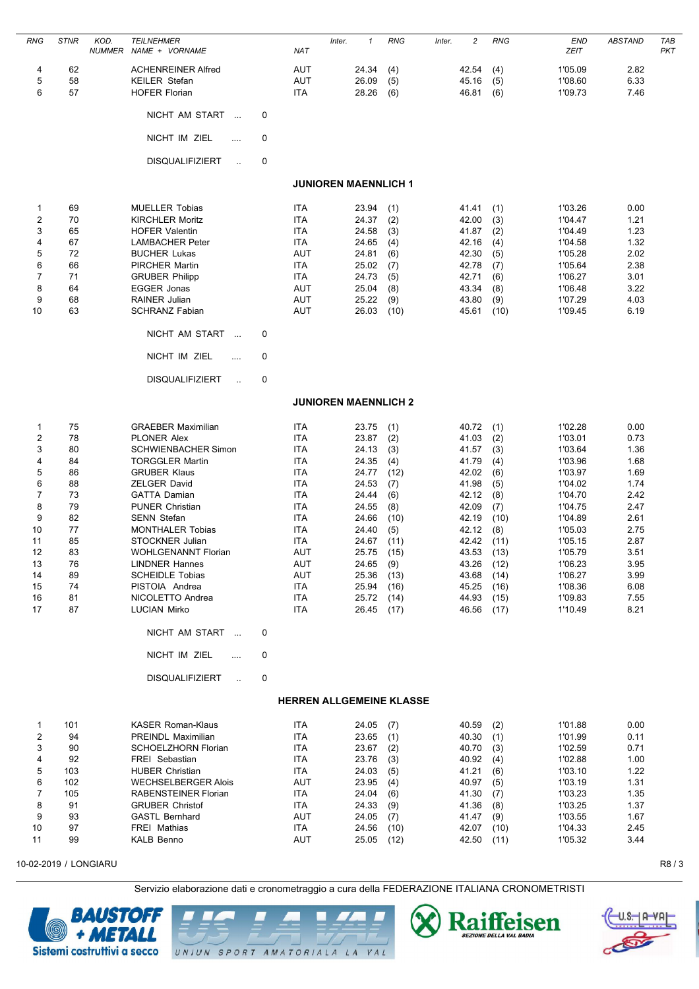| <b>RNG</b>            | <b>STNR</b> | KOD.<br><b>NUMMER</b> | <b>TEILNEHMER</b><br>NAME + VORNAME               |                   | <b>NAT</b>               | Inter.                          | $\mathbf{1}$   | <b>RNG</b> | Inter. | 2              | <b>RNG</b> | <b>END</b><br><b>ZEIT</b> | <b>ABSTAND</b> | TAB<br><b>PKT</b> |
|-----------------------|-------------|-----------------------|---------------------------------------------------|-------------------|--------------------------|---------------------------------|----------------|------------|--------|----------------|------------|---------------------------|----------------|-------------------|
| 4<br>5                | 62<br>58    |                       | <b>ACHENREINER Alfred</b><br><b>KEILER Stefan</b> |                   | AUT<br><b>AUT</b>        |                                 | 24.34<br>26.09 | (4)<br>(5) |        | 42.54<br>45.16 | (4)<br>(5) | 1'05.09<br>1'08.60        | 2.82<br>6.33   |                   |
| 6                     | 57          |                       | <b>HOFER Florian</b>                              |                   | <b>ITA</b>               |                                 | 28.26          | (6)        |        | 46.81          | (6)        | 1'09.73                   | 7.46           |                   |
|                       |             |                       | NICHT AM START<br>$\overline{\phantom{a}}$        | 0                 |                          |                                 |                |            |        |                |            |                           |                |                   |
|                       |             |                       | NICHT IM ZIEL                                     | 0<br>$\cdots$     |                          |                                 |                |            |        |                |            |                           |                |                   |
|                       |             |                       | <b>DISQUALIFIZIERT</b>                            | 0<br>$\mathbf{L}$ |                          |                                 |                |            |        |                |            |                           |                |                   |
|                       |             |                       |                                                   |                   |                          | <b>JUNIOREN MAENNLICH 1</b>     |                |            |        |                |            |                           |                |                   |
| 1                     | 69          |                       | <b>MUELLER Tobias</b>                             |                   | <b>ITA</b>               |                                 | 23.94          | (1)        |        | 41.41          | (1)        | 1'03.26                   | 0.00           |                   |
| $\overline{2}$        | 70          |                       | <b>KIRCHLER Moritz</b>                            |                   | <b>ITA</b>               |                                 | 24.37          | (2)        |        | 42.00          | (3)        | 1'04.47                   | 1.21           |                   |
| 3                     | 65          |                       | <b>HOFER Valentin</b>                             |                   | <b>ITA</b>               |                                 | 24.58          | (3)        |        | 41.87          | (2)        | 1'04.49                   | 1.23           |                   |
| 4                     | 67          |                       | <b>LAMBACHER Peter</b>                            |                   | ITA                      |                                 | 24.65          | (4)        |        | 42.16          | (4)        | 1'04.58                   | 1.32           |                   |
| 5<br>6                | 72          |                       | <b>BUCHER Lukas</b><br><b>PIRCHER Martin</b>      |                   | <b>AUT</b><br><b>ITA</b> |                                 | 24.81          | (6)        |        | 42.30          | (5)        | 1'05.28<br>1'05.64        | 2.02<br>2.38   |                   |
| 7                     | 66<br>71    |                       | <b>GRUBER Philipp</b>                             |                   | <b>ITA</b>               |                                 | 25.02<br>24.73 | (7)<br>(5) |        | 42.78<br>42.71 | (7)<br>(6) | 1'06.27                   | 3.01           |                   |
| 8                     | 64          |                       | <b>EGGER Jonas</b>                                |                   | AUT                      |                                 | 25.04          | (8)        |        | 43.34          | (8)        | 1'06.48                   | 3.22           |                   |
| 9                     | 68          |                       | RAINER Julian                                     |                   | <b>AUT</b>               |                                 | 25.22          | (9)        |        | 43.80          | (9)        | 1'07.29                   | 4.03           |                   |
| 10                    | 63          |                       | <b>SCHRANZ Fabian</b>                             |                   | AUT                      |                                 | 26.03          | (10)       |        | 45.61          | (10)       | 1'09.45                   | 6.19           |                   |
|                       |             |                       | NICHT AM START<br>$\sim$                          | 0                 |                          |                                 |                |            |        |                |            |                           |                |                   |
|                       |             |                       | NICHT IM ZIEL                                     | 0<br>.            |                          |                                 |                |            |        |                |            |                           |                |                   |
|                       |             |                       | <b>DISQUALIFIZIERT</b>                            | 0<br>$\sim$       |                          |                                 |                |            |        |                |            |                           |                |                   |
|                       |             |                       |                                                   |                   |                          | <b>JUNIOREN MAENNLICH 2</b>     |                |            |        |                |            |                           |                |                   |
| 1                     | 75          |                       | <b>GRAEBER Maximilian</b>                         |                   | <b>ITA</b>               |                                 | 23.75          | (1)        |        | 40.72          | (1)        | 1'02.28                   | 0.00           |                   |
| 2                     | 78          |                       | <b>PLONER Alex</b>                                |                   | <b>ITA</b>               |                                 | 23.87          | (2)        |        | 41.03          | (2)        | 1'03.01                   | 0.73           |                   |
| 3                     | 80          |                       | <b>SCHWIENBACHER Simon</b>                        |                   | <b>ITA</b>               |                                 | 24.13          | (3)        |        | 41.57          | (3)        | 1'03.64                   | 1.36           |                   |
| 4                     | 84          |                       | <b>TORGGLER Martin</b>                            |                   | ITA                      |                                 | 24.35          | (4)        |        | 41.79          | (4)        | 1'03.96                   | 1.68           |                   |
| 5                     | 86          |                       | <b>GRUBER Klaus</b>                               |                   | <b>ITA</b>               |                                 | 24.77          | (12)       |        | 42.02          | (6)        | 1'03.97                   | 1.69           |                   |
| 6                     | 88          |                       | <b>ZELGER David</b>                               |                   | <b>ITA</b>               |                                 | 24.53          | (7)        |        | 41.98          | (5)        | 1'04.02                   | 1.74           |                   |
| 7                     | 73          |                       | <b>GATTA Damian</b>                               |                   | <b>ITA</b>               |                                 | 24.44          | (6)        |        | 42.12          | (8)        | 1'04.70                   | 2.42           |                   |
| 8                     | 79          |                       | <b>PUNER Christian</b>                            |                   | <b>ITA</b>               |                                 | 24.55          | (8)        |        | 42.09          | (7)        | 1'04.75                   | 2.47           |                   |
| 9                     | 82          |                       | <b>SENN Stefan</b>                                |                   | <b>ITA</b>               |                                 | 24.66          | (10)       |        | 42.19          | (10)       | 1'04.89                   | 2.61           |                   |
| 10                    | 77          |                       | <b>MONTHALER Tobias</b>                           |                   | <b>ITA</b>               |                                 | 24.40          | (5)        |        | 42.12          | (8)        | 1'05.03                   | 2.75           |                   |
| 11                    | 85          |                       | <b>STOCKNER Julian</b>                            |                   | ITA                      |                                 | 24.67          | (11)       |        | 42.42          | (11)       | 1'05.15                   | 2.87           |                   |
| 12                    | 83          |                       | <b>WOHLGENANNT Florian</b>                        |                   | AUT                      |                                 | 25.75          | (15)       |        | 43.53          | (13)       | 1'05.79                   | 3.51           |                   |
| 13                    | 76          |                       | <b>LINDNER Hannes</b>                             |                   | <b>AUT</b>               |                                 | 24.65          | (9)        |        | 43.26          | (12)       | 1'06.23                   | 3.95           |                   |
| 14                    | 89          |                       | <b>SCHEIDLE Tobias</b>                            |                   | <b>AUT</b>               |                                 | 25.36          | (13)       |        | 43.68          | (14)       | 1'06.27                   | 3.99           |                   |
| 15                    | 74          |                       | PISTOIA Andrea                                    |                   | <b>ITA</b>               |                                 | 25.94          | (16)       |        | 45.25          | (16)       | 1'08.36                   | 6.08           |                   |
| 16                    | 81          |                       | NICOLETTO Andrea                                  |                   | ITA                      |                                 | 25.72          | (14)       |        | 44.93          | (15)       | 1'09.83                   | 7.55           |                   |
| 17                    | 87          |                       | <b>LUCIAN Mirko</b>                               |                   | <b>ITA</b>               |                                 | 26.45          | (17)       |        | 46.56          | (17)       | 1'10.49                   | 8.21           |                   |
|                       |             |                       | NICHT AM START                                    | 0                 |                          |                                 |                |            |        |                |            |                           |                |                   |
|                       |             |                       | NICHT IM ZIEL                                     | 0<br>$\sim$       |                          |                                 |                |            |        |                |            |                           |                |                   |
|                       |             |                       | <b>DISQUALIFIZIERT</b>                            | 0<br>$\sim$       |                          |                                 |                |            |        |                |            |                           |                |                   |
|                       |             |                       |                                                   |                   |                          | <b>HERREN ALLGEMEINE KLASSE</b> |                |            |        |                |            |                           |                |                   |
| $\mathbf{1}$          | 101         |                       | <b>KASER Roman-Klaus</b>                          |                   | ITA                      |                                 | 24.05          | (7)        |        | 40.59          | (2)        | 1'01.88                   | 0.00           |                   |
| 2                     | 94          |                       | PREINDL Maximilian                                |                   | <b>ITA</b>               |                                 | 23.65          | (1)        |        | 40.30(1)       |            | 1'01.99                   | 0.11           |                   |
| 3                     | 90          |                       | SCHOELZHORN Florian                               |                   | <b>ITA</b>               |                                 | 23.67          | (2)        |        | 40.70          | (3)        | 1'02.59                   | 0.71           |                   |
| 4                     | 92          |                       | FREI Sebastian                                    |                   | ITA                      |                                 | 23.76          | (3)        |        | 40.92          | (4)        | 1'02.88                   | 1.00           |                   |
| 5                     | 103         |                       | <b>HUBER Christian</b>                            |                   | ITA                      |                                 | 24.03          | (5)        |        | 41.21          | (6)        | 1'03.10                   | 1.22           |                   |
| 6                     | 102         |                       | <b>WECHSELBERGER Alois</b>                        |                   | <b>AUT</b>               |                                 | 23.95          | (4)        |        | 40.97          | (5)        | 1'03.19                   | 1.31           |                   |
| $\overline{7}$        | 105         |                       | RABENSTEINER Florian                              |                   | <b>ITA</b>               |                                 | 24.04          | (6)        |        | 41.30          | (7)        | 1'03.23                   | 1.35           |                   |
| 8                     | 91          |                       | <b>GRUBER Christof</b>                            |                   | <b>ITA</b>               |                                 | 24.33          | (9)        |        | 41.36          | (8)        | 1'03.25                   | 1.37           |                   |
| 9                     | 93          |                       | <b>GASTL Bernhard</b>                             |                   | AUT                      |                                 | 24.05          | (7)        |        | 41.47          | (9)        | 1'03.55                   | 1.67           |                   |
| 10                    | 97          |                       | FREI Mathias                                      |                   | <b>ITA</b>               |                                 | 24.56          | (10)       |        | 42.07          | (10)       | 1'04.33                   | 2.45           |                   |
| 11                    | 99          |                       | <b>KALB Benno</b>                                 |                   | AUT                      |                                 | 25.05          | (12)       |        | 42.50          | (11)       | 1'05.32                   | 3.44           |                   |
| 10-02-2019 / LONGIARU |             |                       |                                                   |                   |                          |                                 |                |            |        |                |            |                           |                | R8/3              |







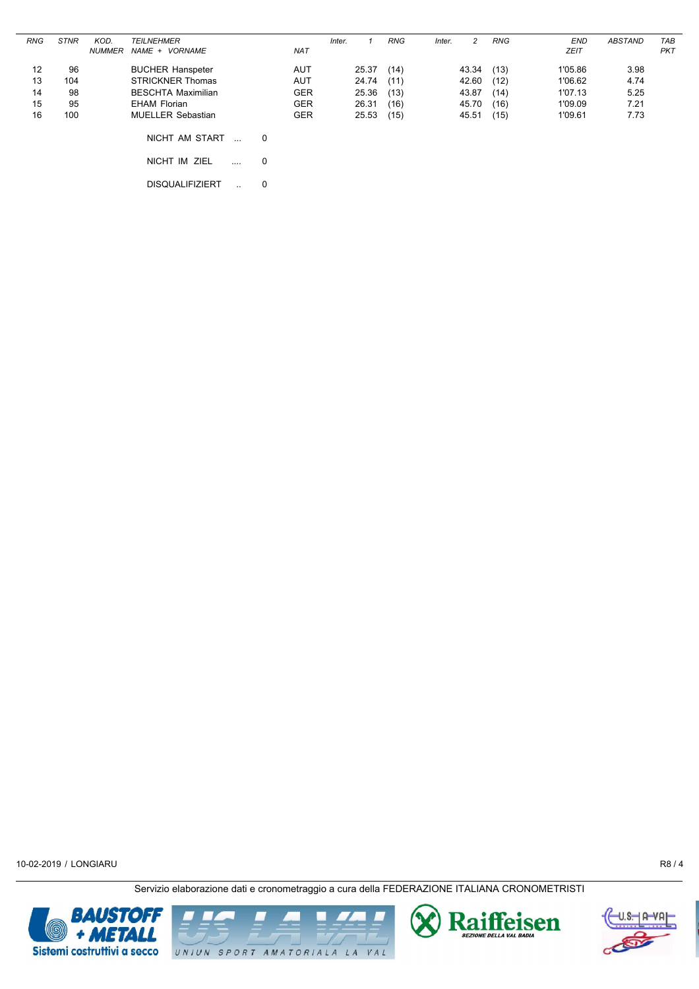| <b>STNR</b> | KOD.                  | <b>TEILNEHMER</b>        |                                                                                                                                      |                  | Inter.                                               |       | <b>RNG</b>                       | Inter.                       | 2     | <b>RNG</b>                       | <b>END</b>                   | <b>ABSTAND</b>                           | TAB                          |
|-------------|-----------------------|--------------------------|--------------------------------------------------------------------------------------------------------------------------------------|------------------|------------------------------------------------------|-------|----------------------------------|------------------------------|-------|----------------------------------|------------------------------|------------------------------------------|------------------------------|
|             | <b>NUMMER</b>         | NAME + VORNAME           |                                                                                                                                      | <b>NAT</b>       |                                                      |       |                                  |                              |       |                                  | <b>ZEIT</b>                  |                                          | PKT                          |
|             |                       |                          |                                                                                                                                      |                  |                                                      |       |                                  |                              |       |                                  |                              |                                          |                              |
|             |                       |                          |                                                                                                                                      |                  |                                                      |       |                                  |                              |       |                                  |                              |                                          |                              |
|             |                       |                          |                                                                                                                                      |                  |                                                      |       |                                  |                              |       |                                  |                              |                                          |                              |
|             |                       |                          |                                                                                                                                      |                  |                                                      |       |                                  |                              |       |                                  |                              |                                          |                              |
| 100         |                       | <b>MUELLER Sebastian</b> |                                                                                                                                      | <b>GER</b>       |                                                      | 25.53 | (15)                             |                              | 45.51 | (15)                             | 1'09.61                      | 7.73                                     |                              |
|             |                       |                          |                                                                                                                                      |                  |                                                      |       |                                  |                              |       |                                  |                              |                                          |                              |
|             |                       |                          |                                                                                                                                      |                  |                                                      |       |                                  |                              |       |                                  |                              |                                          |                              |
|             |                       | NICHT IM ZIEL            |                                                                                                                                      |                  |                                                      |       |                                  |                              |       |                                  |                              |                                          |                              |
|             |                       |                          |                                                                                                                                      |                  |                                                      |       |                                  |                              |       |                                  |                              |                                          |                              |
|             |                       | <b>DISQUALIFIZIERT</b>   | 0                                                                                                                                    |                  |                                                      |       |                                  |                              |       |                                  |                              |                                          |                              |
|             | 96<br>104<br>98<br>95 |                          | <b>BUCHER Hanspeter</b><br><b>STRICKNER Thomas</b><br><b>BESCHTA Maximilian</b><br><b>EHAM Florian</b><br>NICHT AM START<br>$\cdots$ | 0<br>$\mathbf 0$ | <b>AUT</b><br><b>AUT</b><br><b>GER</b><br><b>GER</b> |       | 25.37<br>24.74<br>25.36<br>26.31 | (14)<br>(11)<br>(13)<br>(16) |       | 43.34<br>42.60<br>43.87<br>45.70 | (13)<br>(12)<br>(14)<br>(16) | 1'05.86<br>1'06.62<br>1'07.13<br>1'09.09 | 3.98<br>4.74<br>5.25<br>7.21 |





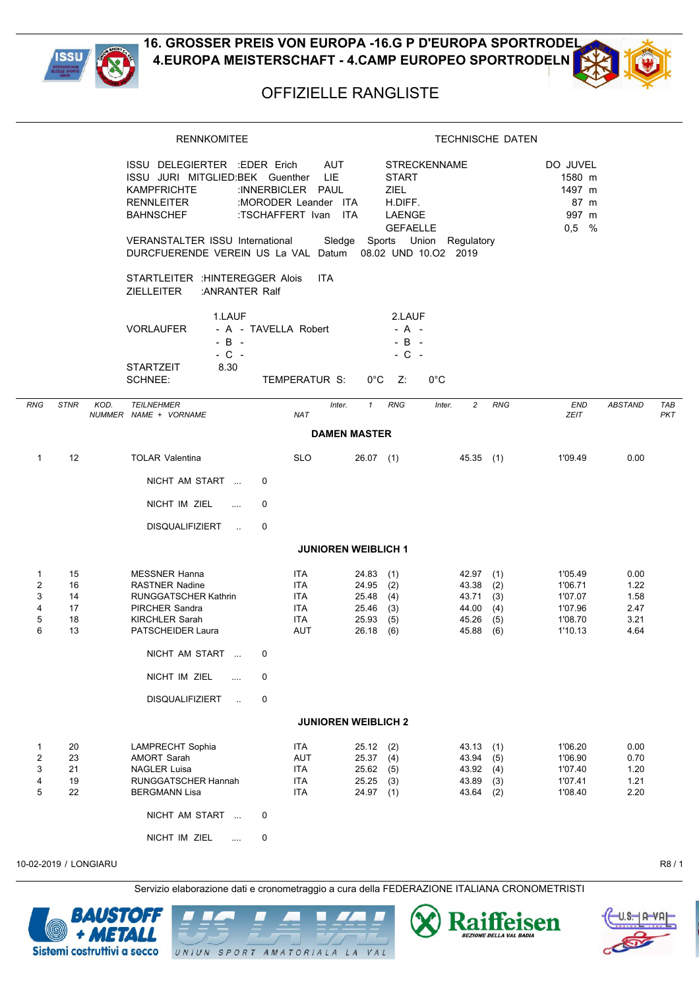



## OFFIZIELLE RANGLISTE

|                                         |                                  | <b>RENNKOMITEE</b>                                                                                                                                                                                                             |                                                                                         | <b>TECHNISCHE DATEN</b>                                                                      |                                                                                      |                                                                |                                              |                          |  |  |  |
|-----------------------------------------|----------------------------------|--------------------------------------------------------------------------------------------------------------------------------------------------------------------------------------------------------------------------------|-----------------------------------------------------------------------------------------|----------------------------------------------------------------------------------------------|--------------------------------------------------------------------------------------|----------------------------------------------------------------|----------------------------------------------|--------------------------|--|--|--|
|                                         |                                  | ISSU DELEGIERTER : EDER Erich<br>ISSU JURI MITGLIED:BEK Guenther<br><b>KAMPFRICHTE</b><br><b>RENNLEITER</b><br><b>BAHNSCHEF</b><br>VERANSTALTER ISSU International<br>DURCFUERENDE VEREIN US La VAL Datum 08.02 UND 10.02 2019 | <b>AUT</b><br>LIE.<br>:INNERBICLER PAUL<br>:MORODER Leander ITA<br>:TSCHAFFERT Ivan ITA | <b>START</b><br>ZIEL<br>H.DIFF.<br><b>LAENGE</b><br><b>GEFAELLE</b>                          | <b>STRECKENNAME</b><br>Sledge Sports Union Regulatory                                | DO JUVEL<br>1580 m<br>1497 m<br>87 m<br>997 m<br>$0,5$ %       |                                              |                          |  |  |  |
|                                         |                                  | STARTLEITER : HINTEREGGER Alois<br><b>ZIELLEITER</b><br>: ANRANTER Ralf                                                                                                                                                        | <b>ITA</b>                                                                              |                                                                                              |                                                                                      |                                                                |                                              |                          |  |  |  |
|                                         |                                  | 1.LAUF<br><b>VORLAUFER</b><br>$-B -$<br>$-$ C $-$<br>8.30<br><b>STARTZEIT</b>                                                                                                                                                  | - A - TAVELLA Robert                                                                    | 2.LAUF<br>$- A -$<br>$-B -$<br>$-$ C $-$                                                     |                                                                                      |                                                                |                                              |                          |  |  |  |
|                                         |                                  | <b>SCHNEE:</b>                                                                                                                                                                                                                 | TEMPERATUR S:                                                                           | $0^{\circ}$ C<br>Z:                                                                          | $0^{\circ}$ C                                                                        |                                                                |                                              |                          |  |  |  |
| RNG                                     | <b>STNR</b>                      | KOD.<br><b>TEILNEHMER</b><br>NUMMER NAME + VORNAME                                                                                                                                                                             | Inter.<br><b>NAT</b>                                                                    | <b>RNG</b><br>$\mathcal{I}$                                                                  | $\overline{c}$<br>Inter.                                                             | <b>RNG</b><br><b>END</b><br>ZEIT                               | <b>ABSTAND</b>                               | <b>TAB</b><br><b>PKT</b> |  |  |  |
|                                         |                                  |                                                                                                                                                                                                                                |                                                                                         | <b>DAMEN MASTER</b>                                                                          |                                                                                      |                                                                |                                              |                          |  |  |  |
| $\mathbf{1}$                            | 12                               | <b>TOLAR Valentina</b>                                                                                                                                                                                                         | <b>SLO</b>                                                                              | $26.07$ (1)                                                                                  | $45.35$ (1)                                                                          | 1'09.49                                                        | 0.00                                         |                          |  |  |  |
|                                         |                                  | NICHT AM START                                                                                                                                                                                                                 | 0                                                                                       |                                                                                              |                                                                                      |                                                                |                                              |                          |  |  |  |
|                                         |                                  | NICHT IM ZIEL<br>$\cdots$                                                                                                                                                                                                      | 0                                                                                       |                                                                                              |                                                                                      |                                                                |                                              |                          |  |  |  |
|                                         |                                  | <b>DISQUALIFIZIERT</b><br>$\sim$ .                                                                                                                                                                                             | 0                                                                                       |                                                                                              |                                                                                      |                                                                |                                              |                          |  |  |  |
|                                         |                                  |                                                                                                                                                                                                                                |                                                                                         | <b>JUNIOREN WEIBLICH 1</b>                                                                   |                                                                                      |                                                                |                                              |                          |  |  |  |
| 1<br>$\overline{2}$<br>3<br>4<br>5<br>6 | 15<br>16<br>14<br>17<br>18<br>13 | <b>MESSNER Hanna</b><br><b>RASTNER Nadine</b><br><b>RUNGGATSCHER Kathrin</b><br><b>PIRCHER Sandra</b><br><b>KIRCHLER Sarah</b><br>PATSCHEIDER Laura                                                                            | ITA<br>ITA<br>ITA<br><b>ITA</b><br>ITA<br>AUT                                           | 24.83<br>(1)<br>24.95<br>(2)<br>25.48<br>(4)<br>25.46<br>(3)<br>25.93<br>(5)<br>26.18<br>(6) | $42.97$ (1)<br>43.38 (2)<br>43.71(3)<br>44.00<br>(4)<br>45.26<br>(5)<br>(6)<br>45.88 | 1'05.49<br>1'06.71<br>1'07.07<br>1'07.96<br>1'08.70<br>1'10.13 | 0.00<br>1.22<br>1.58<br>2.47<br>3.21<br>4.64 |                          |  |  |  |
|                                         |                                  | NICHT AM START                                                                                                                                                                                                                 | 0                                                                                       |                                                                                              |                                                                                      |                                                                |                                              |                          |  |  |  |
|                                         |                                  | NICHT IM ZIEL<br>$\ddotsc$                                                                                                                                                                                                     | 0                                                                                       |                                                                                              |                                                                                      |                                                                |                                              |                          |  |  |  |
|                                         |                                  | <b>DISQUALIFIZIERT</b><br>$\mathcal{L}_{\mathbf{a}}$                                                                                                                                                                           | 0                                                                                       |                                                                                              |                                                                                      |                                                                |                                              |                          |  |  |  |
|                                         |                                  |                                                                                                                                                                                                                                |                                                                                         | <b>JUNIOREN WEIBLICH 2</b>                                                                   |                                                                                      |                                                                |                                              |                          |  |  |  |
| 1<br>2<br>3<br>4<br>5                   | 20<br>23<br>21<br>19<br>22       | LAMPRECHT Sophia<br>AMORT Sarah<br><b>NAGLER Luisa</b><br>RUNGGATSCHER Hannah<br><b>BERGMANN Lisa</b>                                                                                                                          | ITA<br>AUT<br>ITA<br>ITA<br>ITA                                                         | 25.12<br>(2)<br>25.37<br>(4)<br>25.62<br>(5)<br>25.25<br>(3)<br>$24.97$ (1)                  | 43.13<br>(1)<br>43.94<br>(5)<br>43.92 (4)<br>43.89<br>(3)<br>$43.64$ (2)             | 1'06.20<br>1'06.90<br>1'07.40<br>1'07.41<br>1'08.40            | 0.00<br>0.70<br>1.20<br>1.21<br>2.20         |                          |  |  |  |
|                                         |                                  | NICHT AM START                                                                                                                                                                                                                 | 0                                                                                       |                                                                                              |                                                                                      |                                                                |                                              |                          |  |  |  |
|                                         |                                  | NICHT IM ZIEL<br>                                                                                                                                                                                                              | 0                                                                                       |                                                                                              |                                                                                      |                                                                |                                              |                          |  |  |  |

10-02-2019 / LONGIARU R8 / 1

Servizio elaborazione dati e cronometraggio a cura della FEDERAZIONE ITALIANA CRONOMETRISTI



UNIUN SPORT AMATORIALA LA VAL



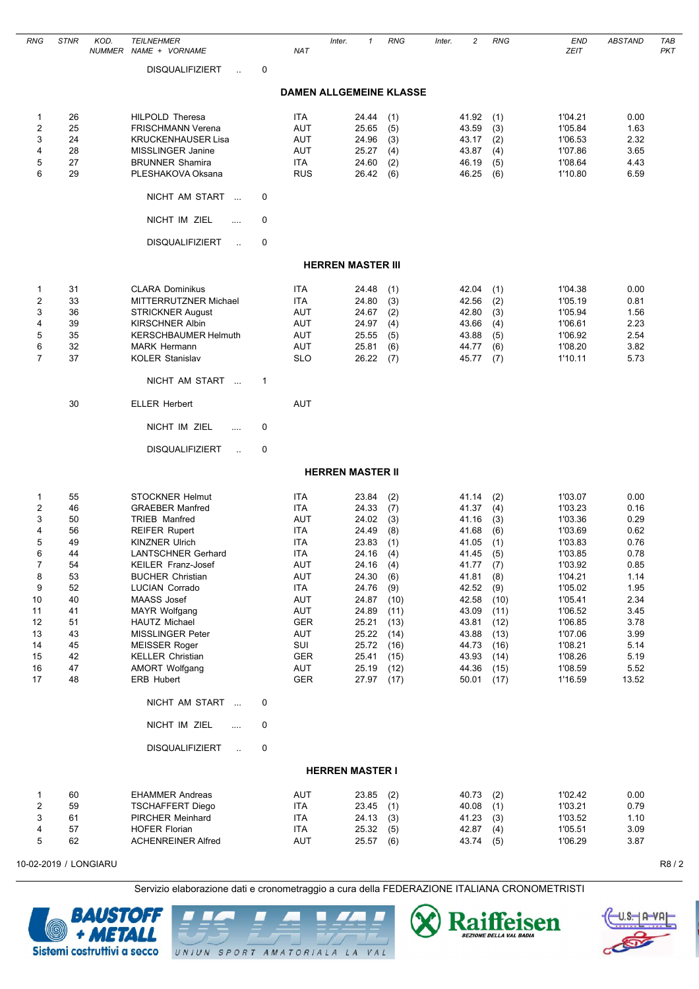| <b>RNG</b>                                                                                                        | <b>STNR</b>                                                                                        | KOD. | <b>TEILNEHMER</b><br>NUMMER NAME + VORNAME                                                                                                                                                                                                                                                                                                                                                                                                     |        | <b>NAT</b>                                                                                                                                                                  | Inter.                   | $\mathbf{1}$                                                                                                                                          | <b>RNG</b>                                                                                                                  | Inter. | $\overline{c}$                                                                                                                                        | <b>RNG</b>                                                                                                                  | <b>END</b><br>ZEIT                                                                                                                                                                      | <b>ABSTAND</b>                                                                                                                        | TAB<br><b>PKT</b> |
|-------------------------------------------------------------------------------------------------------------------|----------------------------------------------------------------------------------------------------|------|------------------------------------------------------------------------------------------------------------------------------------------------------------------------------------------------------------------------------------------------------------------------------------------------------------------------------------------------------------------------------------------------------------------------------------------------|--------|-----------------------------------------------------------------------------------------------------------------------------------------------------------------------------|--------------------------|-------------------------------------------------------------------------------------------------------------------------------------------------------|-----------------------------------------------------------------------------------------------------------------------------|--------|-------------------------------------------------------------------------------------------------------------------------------------------------------|-----------------------------------------------------------------------------------------------------------------------------|-----------------------------------------------------------------------------------------------------------------------------------------------------------------------------------------|---------------------------------------------------------------------------------------------------------------------------------------|-------------------|
|                                                                                                                   |                                                                                                    |      | <b>DISQUALIFIZIERT</b><br>$\ddot{\phantom{1}}$                                                                                                                                                                                                                                                                                                                                                                                                 | 0      |                                                                                                                                                                             |                          |                                                                                                                                                       |                                                                                                                             |        |                                                                                                                                                       |                                                                                                                             |                                                                                                                                                                                         |                                                                                                                                       |                   |
|                                                                                                                   |                                                                                                    |      |                                                                                                                                                                                                                                                                                                                                                                                                                                                |        |                                                                                                                                                                             |                          |                                                                                                                                                       | <b>DAMEN ALLGEMEINE KLASSE</b>                                                                                              |        |                                                                                                                                                       |                                                                                                                             |                                                                                                                                                                                         |                                                                                                                                       |                   |
| $\mathbf{1}$<br>$\overline{2}$<br>3<br>4<br>5<br>6                                                                | 26<br>25<br>24<br>28<br>27<br>29                                                                   |      | <b>HILPOLD Theresa</b><br><b>FRISCHMANN Verena</b><br><b>KRUCKENHAUSER Lisa</b><br>MISSLINGER Janine<br><b>BRUNNER Shamira</b><br>PLESHAKOVA Oksana                                                                                                                                                                                                                                                                                            |        | ITA<br>AUT<br><b>AUT</b><br><b>AUT</b><br><b>ITA</b><br><b>RUS</b>                                                                                                          |                          | 24.44<br>25.65<br>24.96<br>25.27<br>24.60<br>26.42                                                                                                    | (1)<br>(5)<br>(3)<br>(4)<br>(2)<br>(6)                                                                                      |        | 41.92<br>43.59<br>43.17<br>43.87<br>46.19<br>46.25                                                                                                    | (1)<br>(3)<br>(2)<br>(4)<br>(5)<br>(6)                                                                                      | 1'04.21<br>1'05.84<br>1'06.53<br>1'07.86<br>1'08.64<br>1'10.80                                                                                                                          | 0.00<br>1.63<br>2.32<br>3.65<br>4.43<br>6.59                                                                                          |                   |
|                                                                                                                   |                                                                                                    |      | NICHT AM START<br>$\sim$                                                                                                                                                                                                                                                                                                                                                                                                                       | 0      |                                                                                                                                                                             |                          |                                                                                                                                                       |                                                                                                                             |        |                                                                                                                                                       |                                                                                                                             |                                                                                                                                                                                         |                                                                                                                                       |                   |
|                                                                                                                   |                                                                                                    |      | NICHT IM ZIEL<br>.<br><b>DISQUALIFIZIERT</b><br>$\ddot{\phantom{a}}$                                                                                                                                                                                                                                                                                                                                                                           | 0<br>0 |                                                                                                                                                                             |                          |                                                                                                                                                       |                                                                                                                             |        |                                                                                                                                                       |                                                                                                                             |                                                                                                                                                                                         |                                                                                                                                       |                   |
|                                                                                                                   |                                                                                                    |      |                                                                                                                                                                                                                                                                                                                                                                                                                                                |        |                                                                                                                                                                             | <b>HERREN MASTER III</b> |                                                                                                                                                       |                                                                                                                             |        |                                                                                                                                                       |                                                                                                                             |                                                                                                                                                                                         |                                                                                                                                       |                   |
|                                                                                                                   |                                                                                                    |      |                                                                                                                                                                                                                                                                                                                                                                                                                                                |        |                                                                                                                                                                             |                          |                                                                                                                                                       |                                                                                                                             |        |                                                                                                                                                       |                                                                                                                             |                                                                                                                                                                                         |                                                                                                                                       |                   |
| $\mathbf{1}$<br>$\overline{2}$<br>3<br>4<br>5<br>6<br>$\overline{7}$                                              | 31<br>33<br>36<br>39<br>35<br>32<br>37                                                             |      | <b>CLARA Dominikus</b><br>MITTERRUTZNER Michael<br><b>STRICKNER August</b><br><b>KIRSCHNER Albin</b><br><b>KERSCHBAUMER Helmuth</b><br><b>MARK Hermann</b><br><b>KOLER Stanislav</b>                                                                                                                                                                                                                                                           |        | ITA<br>ITA<br><b>AUT</b><br><b>AUT</b><br><b>AUT</b><br>AUT<br><b>SLO</b>                                                                                                   |                          | 24.48<br>24.80<br>24.67<br>24.97<br>25.55<br>25.81<br>26.22                                                                                           | (1)<br>(3)<br>(2)<br>(4)<br>(5)<br>(6)<br>(7)                                                                               |        | 42.04<br>42.56<br>42.80<br>43.66<br>43.88<br>44.77<br>45.77                                                                                           | (1)<br>(2)<br>(3)<br>(4)<br>(5)<br>(6)<br>(7)                                                                               | 1'04.38<br>1'05.19<br>1'05.94<br>1'06.61<br>1'06.92<br>1'08.20<br>1'10.11                                                                                                               | 0.00<br>0.81<br>1.56<br>2.23<br>2.54<br>3.82<br>5.73                                                                                  |                   |
|                                                                                                                   |                                                                                                    |      | NICHT AM START                                                                                                                                                                                                                                                                                                                                                                                                                                 | 1      |                                                                                                                                                                             |                          |                                                                                                                                                       |                                                                                                                             |        |                                                                                                                                                       |                                                                                                                             |                                                                                                                                                                                         |                                                                                                                                       |                   |
|                                                                                                                   | 30                                                                                                 |      | <b>ELLER Herbert</b>                                                                                                                                                                                                                                                                                                                                                                                                                           |        | <b>AUT</b>                                                                                                                                                                  |                          |                                                                                                                                                       |                                                                                                                             |        |                                                                                                                                                       |                                                                                                                             |                                                                                                                                                                                         |                                                                                                                                       |                   |
|                                                                                                                   |                                                                                                    |      | NICHT IM ZIEL<br>                                                                                                                                                                                                                                                                                                                                                                                                                              | 0      |                                                                                                                                                                             |                          |                                                                                                                                                       |                                                                                                                             |        |                                                                                                                                                       |                                                                                                                             |                                                                                                                                                                                         |                                                                                                                                       |                   |
|                                                                                                                   |                                                                                                    |      | <b>DISQUALIFIZIERT</b><br>$\ddot{\phantom{a}}$                                                                                                                                                                                                                                                                                                                                                                                                 | 0      |                                                                                                                                                                             |                          |                                                                                                                                                       |                                                                                                                             |        |                                                                                                                                                       |                                                                                                                             |                                                                                                                                                                                         |                                                                                                                                       |                   |
|                                                                                                                   |                                                                                                    |      |                                                                                                                                                                                                                                                                                                                                                                                                                                                |        |                                                                                                                                                                             | <b>HERREN MASTER II</b>  |                                                                                                                                                       |                                                                                                                             |        |                                                                                                                                                       |                                                                                                                             |                                                                                                                                                                                         |                                                                                                                                       |                   |
| $\mathbf{1}$<br>2<br>3<br>4<br>5<br>6<br>$\overline{7}$<br>8<br>9<br>10<br>11<br>12<br>13<br>14<br>15<br>16<br>17 | 55<br>46<br>50<br>56<br>49<br>44<br>54<br>53<br>52<br>40<br>41<br>51<br>43<br>45<br>42<br>47<br>48 |      | <b>STOCKNER Helmut</b><br><b>GRAEBER Manfred</b><br><b>TRIEB Manfred</b><br><b>REIFER Rupert</b><br><b>KINZNER Ulrich</b><br><b>LANTSCHNER Gerhard</b><br>KEILER Franz-Josef<br><b>BUCHER Christian</b><br>LUCIAN Corrado<br>MAASS Josef<br><b>MAYR Wolfgang</b><br><b>HAUTZ Michael</b><br>MISSLINGER Peter<br><b>MEISSER Roger</b><br><b>KELLER Christian</b><br><b>AMORT Wolfgang</b><br>ERB Hubert<br>NICHT AM START<br>NICHT IM ZIEL<br>. | 0<br>0 | <b>ITA</b><br><b>ITA</b><br>AUT<br><b>ITA</b><br><b>ITA</b><br>ITA<br>AUT<br>AUT<br><b>ITA</b><br>AUT<br>AUT<br><b>GER</b><br>AUT<br>SUI<br><b>GER</b><br>AUT<br><b>GER</b> |                          | 23.84<br>24.33<br>24.02<br>24.49<br>23.83<br>24.16<br>24.16<br>24.30<br>24.76<br>24.87<br>24.89<br>25.21<br>25.22<br>25.72<br>25.41<br>25.19<br>27.97 | (2)<br>(7)<br>(3)<br>(8)<br>(1)<br>(4)<br>(4)<br>(6)<br>(9)<br>(10)<br>(11)<br>(13)<br>(14)<br>(16)<br>(15)<br>(12)<br>(17) |        | 41.14<br>41.37<br>41.16<br>41.68<br>41.05<br>41.45<br>41.77<br>41.81<br>42.52<br>42.58<br>43.09<br>43.81<br>43.88<br>44.73<br>43.93<br>44.36<br>50.01 | (2)<br>(4)<br>(3)<br>(6)<br>(1)<br>(5)<br>(7)<br>(8)<br>(9)<br>(10)<br>(11)<br>(12)<br>(13)<br>(16)<br>(14)<br>(15)<br>(17) | 1'03.07<br>1'03.23<br>1'03.36<br>1'03.69<br>1'03.83<br>1'03.85<br>1'03.92<br>1'04.21<br>1'05.02<br>1'05.41<br>1'06.52<br>1'06.85<br>1'07.06<br>1'08.21<br>1'08.26<br>1'08.59<br>1'16.59 | 0.00<br>0.16<br>0.29<br>0.62<br>0.76<br>0.78<br>0.85<br>1.14<br>1.95<br>2.34<br>3.45<br>3.78<br>3.99<br>5.14<br>5.19<br>5.52<br>13.52 |                   |
|                                                                                                                   |                                                                                                    |      |                                                                                                                                                                                                                                                                                                                                                                                                                                                |        |                                                                                                                                                                             |                          |                                                                                                                                                       |                                                                                                                             |        |                                                                                                                                                       |                                                                                                                             |                                                                                                                                                                                         |                                                                                                                                       |                   |
|                                                                                                                   |                                                                                                    |      | <b>DISQUALIFIZIERT</b><br>$\ddot{\phantom{a}}$                                                                                                                                                                                                                                                                                                                                                                                                 | 0      |                                                                                                                                                                             | <b>HERREN MASTER I</b>   |                                                                                                                                                       |                                                                                                                             |        |                                                                                                                                                       |                                                                                                                             |                                                                                                                                                                                         |                                                                                                                                       |                   |
| 1<br>2<br>3<br>4<br>5                                                                                             | 60<br>59<br>61<br>57<br>62                                                                         |      | <b>EHAMMER Andreas</b><br><b>TSCHAFFERT Diego</b><br>PIRCHER Meinhard<br><b>HOFER Florian</b><br><b>ACHENREINER Alfred</b>                                                                                                                                                                                                                                                                                                                     |        | AUT<br><b>ITA</b><br><b>ITA</b><br>ITA<br>AUT                                                                                                                               |                          | 23.85<br>23.45<br>24.13<br>25.32<br>25.57                                                                                                             | (2)<br>(1)<br>(3)<br>(5)<br>(6)                                                                                             |        | 40.73<br>40.08<br>41.23<br>42.87<br>43.74                                                                                                             | (2)<br>(1)<br>(3)<br>(4)<br>(5)                                                                                             | 1'02.42<br>1'03.21<br>1'03.52<br>1'05.51<br>1'06.29                                                                                                                                     | 0.00<br>0.79<br>1.10<br>3.09<br>3.87                                                                                                  |                   |





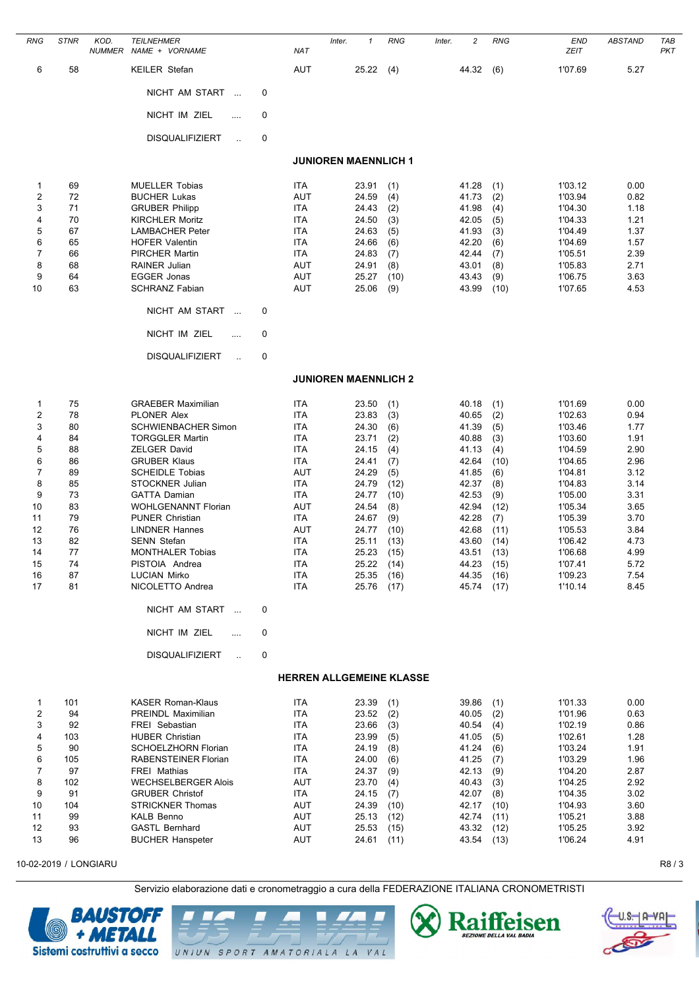| <b>RNG</b>            | <b>STNR</b> | KOD.<br><b>NUMMER</b> | <b>TEILNEHMER</b><br>NAME + VORNAME                    |   | <b>NAT</b>                      | Inter. | $\mathbf{1}$                | <b>RNG</b>   | Inter. | $\overline{c}$ | <b>RNG</b>   | <b>END</b><br><b>ZEIT</b> | <b>ABSTAND</b> | TAB<br><b>PKT</b> |
|-----------------------|-------------|-----------------------|--------------------------------------------------------|---|---------------------------------|--------|-----------------------------|--------------|--------|----------------|--------------|---------------------------|----------------|-------------------|
| 6                     | 58          |                       | <b>KEILER Stefan</b>                                   |   | AUT                             |        | 25.22                       | (4)          |        | 44.32          | (6)          | 1'07.69                   | 5.27           |                   |
|                       |             |                       | NICHT AM START<br>$\sim$ .                             | 0 |                                 |        |                             |              |        |                |              |                           |                |                   |
|                       |             |                       | NICHT IM ZIEL<br>.                                     | 0 |                                 |        |                             |              |        |                |              |                           |                |                   |
|                       |             |                       | <b>DISQUALIFIZIERT</b>                                 | 0 |                                 |        |                             |              |        |                |              |                           |                |                   |
|                       |             |                       |                                                        |   |                                 |        | <b>JUNIOREN MAENNLICH 1</b> |              |        |                |              |                           |                |                   |
| $\mathbf{1}$          | 69          |                       | <b>MUELLER Tobias</b>                                  |   | <b>ITA</b>                      |        | 23.91                       | (1)          |        | 41.28          | (1)          | 1'03.12                   | 0.00           |                   |
| 2                     | 72          |                       | <b>BUCHER Lukas</b>                                    |   | AUT                             |        | 24.59                       | (4)          |        | 41.73          | (2)          | 1'03.94                   | 0.82           |                   |
| 3<br>4                | 71<br>70    |                       | <b>GRUBER Philipp</b><br><b>KIRCHLER Moritz</b>        |   | <b>ITA</b><br><b>ITA</b>        |        | 24.43<br>24.50              | (2)<br>(3)   |        | 41.98<br>42.05 | (4)<br>(5)   | 1'04.30<br>1'04.33        | 1.18<br>1.21   |                   |
| 5                     | 67          |                       | <b>LAMBACHER Peter</b>                                 |   | ITA                             |        | 24.63                       | (5)          |        | 41.93          | (3)          | 1'04.49                   | 1.37           |                   |
| 6                     | 65          |                       | <b>HOFER Valentin</b>                                  |   | ITA                             |        | 24.66                       | (6)          |        | 42.20          | (6)          | 1'04.69                   | 1.57           |                   |
| 7                     | 66          |                       | <b>PIRCHER Martin</b>                                  |   | ITA                             |        | 24.83                       | (7)          |        | 42.44          | (7)          | 1'05.51                   | 2.39           |                   |
| 8                     | 68          |                       | <b>RAINER Julian</b>                                   |   | <b>AUT</b>                      |        | 24.91                       | (8)          |        | 43.01          | (8)          | 1'05.83                   | 2.71           |                   |
| 9                     | 64          |                       | EGGER Jonas                                            |   | <b>AUT</b>                      |        | 25.27                       | (10)         |        | 43.43          | (9)          | 1'06.75                   | 3.63           |                   |
| 10                    | 63          |                       | <b>SCHRANZ Fabian</b>                                  |   | AUT                             |        | 25.06                       | (9)          |        | 43.99          | (10)         | 1'07.65                   | 4.53           |                   |
|                       |             |                       | NICHT AM START<br>$\sim$ .                             | 0 |                                 |        |                             |              |        |                |              |                           |                |                   |
|                       |             |                       | NICHT IM ZIEL<br>$\cdots$                              | 0 |                                 |        |                             |              |        |                |              |                           |                |                   |
|                       |             |                       | <b>DISQUALIFIZIERT</b><br>$\ddot{\phantom{a}}$         | 0 |                                 |        |                             |              |        |                |              |                           |                |                   |
|                       |             |                       |                                                        |   |                                 |        | <b>JUNIOREN MAENNLICH 2</b> |              |        |                |              |                           |                |                   |
| $\mathbf{1}$          | 75          |                       | <b>GRAEBER Maximilian</b>                              |   | <b>ITA</b>                      |        | 23.50                       | (1)          |        | 40.18          | (1)          | 1'01.69                   | 0.00           |                   |
| $\overline{2}$        | 78          |                       | <b>PLONER Alex</b>                                     |   | ITA                             |        | 23.83                       | (3)          |        | 40.65          | (2)          | 1'02.63                   | 0.94           |                   |
| 3                     | 80          |                       | <b>SCHWIENBACHER Simon</b>                             |   | ITA                             |        | 24.30                       | (6)          |        | 41.39          | (5)          | 1'03.46                   | 1.77           |                   |
| 4                     | 84          |                       | <b>TORGGLER Martin</b>                                 |   | <b>ITA</b>                      |        | 23.71                       | (2)          |        | 40.88          | (3)          | 1'03.60                   | 1.91           |                   |
| 5<br>6                | 88<br>86    |                       | <b>ZELGER David</b><br><b>GRUBER Klaus</b>             |   | <b>ITA</b><br>ITA               |        | 24.15<br>24.41              | (4)<br>(7)   |        | 41.13<br>42.64 | (4)<br>(10)  | 1'04.59<br>1'04.65        | 2.90<br>2.96   |                   |
| 7                     | 89          |                       | <b>SCHEIDLE Tobias</b>                                 |   | <b>AUT</b>                      |        | 24.29                       | (5)          |        | 41.85          | (6)          | 1'04.81                   | 3.12           |                   |
| 8                     | 85          |                       | STOCKNER Julian                                        |   | <b>ITA</b>                      |        | 24.79                       | (12)         |        | 42.37          | (8)          | 1'04.83                   | 3.14           |                   |
| 9                     | 73          |                       | <b>GATTA Damian</b>                                    |   | ITA                             |        | 24.77                       | (10)         |        | 42.53          | (9)          | 1'05.00                   | 3.31           |                   |
| 10                    | 83          |                       | <b>WOHLGENANNT Florian</b>                             |   | AUT                             |        | 24.54                       | (8)          |        | 42.94          | (12)         | 1'05.34                   | 3.65           |                   |
| 11                    | 79          |                       | <b>PUNER Christian</b>                                 |   | <b>ITA</b>                      |        | 24.67                       | (9)          |        | 42.28          | (7)          | 1'05.39                   | 3.70           |                   |
| 12                    | 76          |                       | <b>LINDNER Hannes</b>                                  |   | <b>AUT</b>                      |        | 24.77                       | (10)         |        | 42.68          | (11)         | 1'05.53                   | 3.84           |                   |
| 13<br>14              | 82<br>77    |                       | <b>SENN Stefan</b><br><b>MONTHALER Tobias</b>          |   | <b>ITA</b><br>ITA               |        | 25.11<br>25.23              | (13)<br>(15) |        | 43.60<br>43.51 | (14)<br>(13) | 1'06.42<br>1'06.68        | 4.73<br>4.99   |                   |
| 15                    | 74          |                       | PISTOIA Andrea                                         |   | <b>ITA</b>                      |        | 25.22                       | (14)         |        | 44.23          | (15)         | 1'07.41                   | 5.72           |                   |
| 16                    | 87          |                       | <b>LUCIAN Mirko</b>                                    |   | <b>ITA</b>                      |        | 25.35                       | (16)         |        | 44.35          | (16)         | 1'09.23                   | 7.54           |                   |
| 17                    | 81          |                       | NICOLETTO Andrea                                       |   | <b>ITA</b>                      |        | 25.76                       | (17)         |        | 45.74          | (17)         | 1'10.14                   | 8.45           |                   |
|                       |             |                       | NICHT AM START                                         | 0 |                                 |        |                             |              |        |                |              |                           |                |                   |
|                       |             |                       | NICHT IM ZIEL<br>$\sim$                                | 0 |                                 |        |                             |              |        |                |              |                           |                |                   |
|                       |             |                       | <b>DISQUALIFIZIERT</b><br>$\mathcal{L}_{\mathrm{eff}}$ | 0 |                                 |        |                             |              |        |                |              |                           |                |                   |
|                       |             |                       |                                                        |   | <b>HERREN ALLGEMEINE KLASSE</b> |        |                             |              |        |                |              |                           |                |                   |
| 1                     | 101         |                       | <b>KASER Roman-Klaus</b>                               |   | ITA                             |        | 23.39                       | (1)          |        | 39.86          | (1)          | 1'01.33                   | 0.00           |                   |
| $\overline{2}$        | 94          |                       | PREINDL Maximilian                                     |   | <b>ITA</b>                      |        | 23.52                       | (2)          |        | 40.05          | (2)          | 1'01.96                   | 0.63           |                   |
| 3                     | 92          |                       | FREI Sebastian                                         |   | ITA                             |        | 23.66                       | (3)          |        | 40.54          | (4)          | 1'02.19                   | 0.86           |                   |
| 4                     | 103         |                       | <b>HUBER Christian</b>                                 |   | <b>ITA</b>                      |        | 23.99                       | (5)          |        | 41.05          | (5)          | 1'02.61                   | 1.28           |                   |
| 5                     | 90          |                       | SCHOELZHORN Florian                                    |   | ITA                             |        | 24.19                       | (8)          |        | 41.24          | (6)          | 1'03.24                   | 1.91           |                   |
| 6<br>$\overline{7}$   | 105<br>97   |                       | RABENSTEINER Florian<br><b>FREI Mathias</b>            |   | ITA<br>ITA                      |        | 24.00<br>24.37              | (6)<br>(9)   |        | 41.25<br>42.13 | (7)<br>(9)   | 1'03.29<br>1'04.20        | 1.96<br>2.87   |                   |
| 8                     | 102         |                       | <b>WECHSELBERGER Alois</b>                             |   | AUT                             |        | 23.70                       | (4)          |        | 40.43          | (3)          | 1'04.25                   | 2.92           |                   |
| 9                     | 91          |                       | <b>GRUBER Christof</b>                                 |   | <b>ITA</b>                      |        | 24.15                       | (7)          |        | 42.07          | (8)          | 1'04.35                   | 3.02           |                   |
| 10                    | 104         |                       | <b>STRICKNER Thomas</b>                                |   | AUT                             |        | 24.39                       | (10)         |        | 42.17          | (10)         | 1'04.93                   | 3.60           |                   |
| 11                    | 99          |                       | <b>KALB Benno</b>                                      |   | AUT                             |        | 25.13                       | (12)         |        | 42.74          | (11)         | 1'05.21                   | 3.88           |                   |
| 12                    | 93          |                       | GASTL Bernhard                                         |   | AUT                             |        | 25.53                       | (15)         |        | 43.32 (12)     |              | 1'05.25                   | 3.92           |                   |
| 13                    | 96          |                       | <b>BUCHER Hanspeter</b>                                |   | AUT                             |        | 24.61                       | (11)         |        | 43.54          | (13)         | 1'06.24                   | 4.91           |                   |
| 10-02-2019 / LONGIARU |             |                       |                                                        |   |                                 |        |                             |              |        |                |              |                           |                | R8/3              |







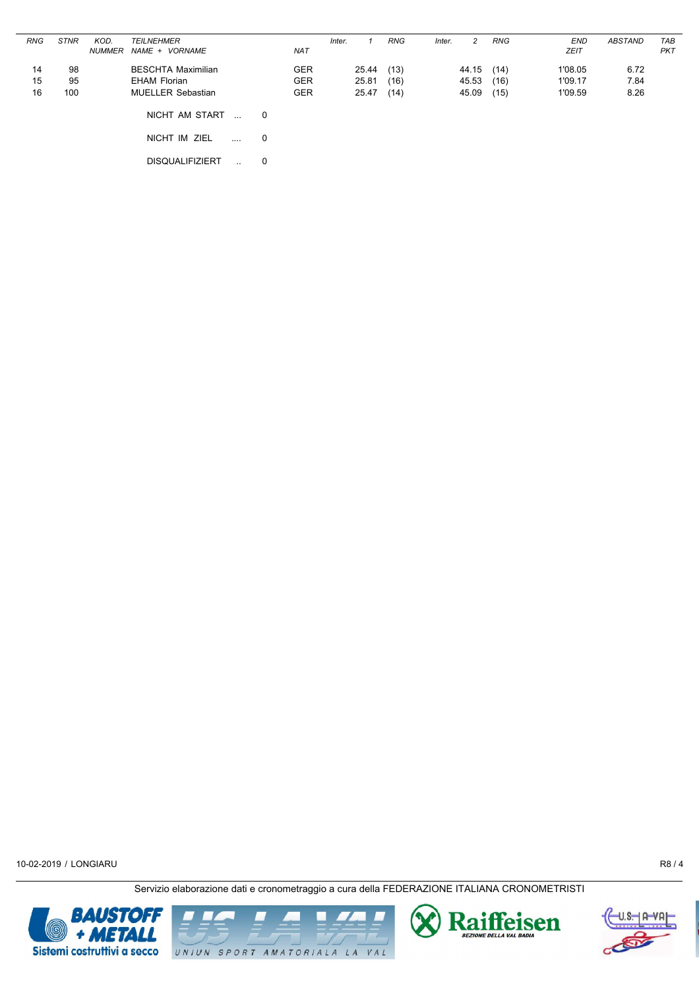| <b>RNG</b>     | <b>STNR</b>     | KOD.<br><b>NUMMER</b> | <b>TEILNEHMER</b><br>NAME + VORNAME                                   |   | <b>NAT</b>                             | Inter. |                         | <b>RNG</b>           | Inter. | 2                       | <b>RNG</b>           | <b>END</b><br><b>ZEIT</b>     | ABSTAND              | TAB<br><b>PKT</b> |
|----------------|-----------------|-----------------------|-----------------------------------------------------------------------|---|----------------------------------------|--------|-------------------------|----------------------|--------|-------------------------|----------------------|-------------------------------|----------------------|-------------------|
| 14<br>15<br>16 | 98<br>95<br>100 |                       | <b>BESCHTA Maximilian</b><br>EHAM Florian<br><b>MUELLER Sebastian</b> |   | <b>GER</b><br><b>GER</b><br><b>GER</b> |        | 25.44<br>25.81<br>25.47 | (13)<br>(16)<br>(14) |        | 44.15<br>45.53<br>45.09 | (14)<br>(16)<br>(15) | 1'08.05<br>1'09.17<br>1'09.59 | 6.72<br>7.84<br>8.26 |                   |
|                |                 |                       | NICHT AM START<br>$\overline{\phantom{a}}$                            | 0 |                                        |        |                         |                      |        |                         |                      |                               |                      |                   |
|                |                 |                       | NICHT IM ZIEL<br>$\ddotsc$                                            | 0 |                                        |        |                         |                      |        |                         |                      |                               |                      |                   |
|                |                 |                       | <b>DISQUALIFIZIERT</b><br>$\mathbf{r}$                                | 0 |                                        |        |                         |                      |        |                         |                      |                               |                      |                   |